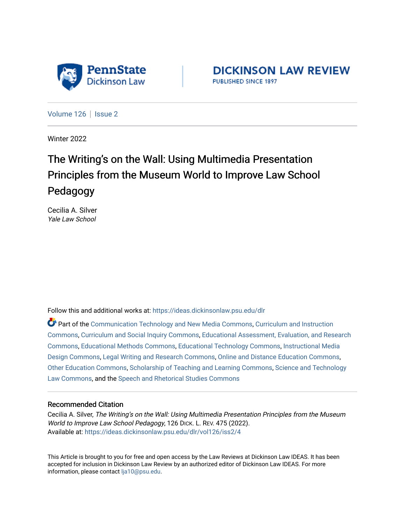

**DICKINSON LAW REVIEW** PUBLISHED SINCE 1897

[Volume 126](https://ideas.dickinsonlaw.psu.edu/dlr/vol126) | [Issue 2](https://ideas.dickinsonlaw.psu.edu/dlr/vol126/iss2)

Winter 2022

# The Writing's on the Wall: Using Multimedia Presentation Principles from the Museum World to Improve Law School Pedagogy

Cecilia A. Silver Yale Law School

Follow this and additional works at: [https://ideas.dickinsonlaw.psu.edu/dlr](https://ideas.dickinsonlaw.psu.edu/dlr?utm_source=ideas.dickinsonlaw.psu.edu%2Fdlr%2Fvol126%2Fiss2%2F4&utm_medium=PDF&utm_campaign=PDFCoverPages) 

Part of the [Communication Technology and New Media Commons,](http://network.bepress.com/hgg/discipline/327?utm_source=ideas.dickinsonlaw.psu.edu%2Fdlr%2Fvol126%2Fiss2%2F4&utm_medium=PDF&utm_campaign=PDFCoverPages) [Curriculum and Instruction](http://network.bepress.com/hgg/discipline/786?utm_source=ideas.dickinsonlaw.psu.edu%2Fdlr%2Fvol126%2Fiss2%2F4&utm_medium=PDF&utm_campaign=PDFCoverPages) [Commons](http://network.bepress.com/hgg/discipline/786?utm_source=ideas.dickinsonlaw.psu.edu%2Fdlr%2Fvol126%2Fiss2%2F4&utm_medium=PDF&utm_campaign=PDFCoverPages), [Curriculum and Social Inquiry Commons](http://network.bepress.com/hgg/discipline/1038?utm_source=ideas.dickinsonlaw.psu.edu%2Fdlr%2Fvol126%2Fiss2%2F4&utm_medium=PDF&utm_campaign=PDFCoverPages), [Educational Assessment, Evaluation, and Research](http://network.bepress.com/hgg/discipline/796?utm_source=ideas.dickinsonlaw.psu.edu%2Fdlr%2Fvol126%2Fiss2%2F4&utm_medium=PDF&utm_campaign=PDFCoverPages)  [Commons](http://network.bepress.com/hgg/discipline/796?utm_source=ideas.dickinsonlaw.psu.edu%2Fdlr%2Fvol126%2Fiss2%2F4&utm_medium=PDF&utm_campaign=PDFCoverPages), [Educational Methods Commons](http://network.bepress.com/hgg/discipline/1227?utm_source=ideas.dickinsonlaw.psu.edu%2Fdlr%2Fvol126%2Fiss2%2F4&utm_medium=PDF&utm_campaign=PDFCoverPages), [Educational Technology Commons](http://network.bepress.com/hgg/discipline/1415?utm_source=ideas.dickinsonlaw.psu.edu%2Fdlr%2Fvol126%2Fiss2%2F4&utm_medium=PDF&utm_campaign=PDFCoverPages), [Instructional Media](http://network.bepress.com/hgg/discipline/795?utm_source=ideas.dickinsonlaw.psu.edu%2Fdlr%2Fvol126%2Fiss2%2F4&utm_medium=PDF&utm_campaign=PDFCoverPages)  [Design Commons](http://network.bepress.com/hgg/discipline/795?utm_source=ideas.dickinsonlaw.psu.edu%2Fdlr%2Fvol126%2Fiss2%2F4&utm_medium=PDF&utm_campaign=PDFCoverPages), [Legal Writing and Research Commons](http://network.bepress.com/hgg/discipline/614?utm_source=ideas.dickinsonlaw.psu.edu%2Fdlr%2Fvol126%2Fiss2%2F4&utm_medium=PDF&utm_campaign=PDFCoverPages), [Online and Distance Education Commons](http://network.bepress.com/hgg/discipline/1296?utm_source=ideas.dickinsonlaw.psu.edu%2Fdlr%2Fvol126%2Fiss2%2F4&utm_medium=PDF&utm_campaign=PDFCoverPages), [Other Education Commons,](http://network.bepress.com/hgg/discipline/811?utm_source=ideas.dickinsonlaw.psu.edu%2Fdlr%2Fvol126%2Fiss2%2F4&utm_medium=PDF&utm_campaign=PDFCoverPages) [Scholarship of Teaching and Learning Commons,](http://network.bepress.com/hgg/discipline/1328?utm_source=ideas.dickinsonlaw.psu.edu%2Fdlr%2Fvol126%2Fiss2%2F4&utm_medium=PDF&utm_campaign=PDFCoverPages) [Science and Technology](http://network.bepress.com/hgg/discipline/875?utm_source=ideas.dickinsonlaw.psu.edu%2Fdlr%2Fvol126%2Fiss2%2F4&utm_medium=PDF&utm_campaign=PDFCoverPages)  [Law Commons,](http://network.bepress.com/hgg/discipline/875?utm_source=ideas.dickinsonlaw.psu.edu%2Fdlr%2Fvol126%2Fiss2%2F4&utm_medium=PDF&utm_campaign=PDFCoverPages) and the [Speech and Rhetorical Studies Commons](http://network.bepress.com/hgg/discipline/338?utm_source=ideas.dickinsonlaw.psu.edu%2Fdlr%2Fvol126%2Fiss2%2F4&utm_medium=PDF&utm_campaign=PDFCoverPages)

#### Recommended Citation

Cecilia A. Silver, The Writing's on the Wall: Using Multimedia Presentation Principles from the Museum World to Improve Law School Pedagogy, 126 DICK. L. REV. 475 (2022). Available at: [https://ideas.dickinsonlaw.psu.edu/dlr/vol126/iss2/4](https://ideas.dickinsonlaw.psu.edu/dlr/vol126/iss2/4?utm_source=ideas.dickinsonlaw.psu.edu%2Fdlr%2Fvol126%2Fiss2%2F4&utm_medium=PDF&utm_campaign=PDFCoverPages)

This Article is brought to you for free and open access by the Law Reviews at Dickinson Law IDEAS. It has been accepted for inclusion in Dickinson Law Review by an authorized editor of Dickinson Law IDEAS. For more information, please contact [lja10@psu.edu.](mailto:lja10@psu.edu)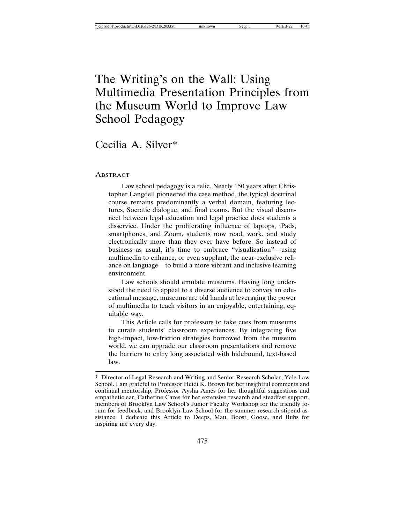## The Writing's on the Wall: Using Multimedia Presentation Principles from the Museum World to Improve Law School Pedagogy

### Cecilia A. Silver\*

#### **ABSTRACT**

Law school pedagogy is a relic. Nearly 150 years after Christopher Langdell pioneered the case method, the typical doctrinal course remains predominantly a verbal domain, featuring lectures, Socratic dialogue, and final exams. But the visual disconnect between legal education and legal practice does students a disservice. Under the proliferating influence of laptops, iPads, smartphones, and Zoom, students now read, work, and study electronically more than they ever have before. So instead of business as usual, it's time to embrace "visualization"—using multimedia to enhance, or even supplant, the near-exclusive reliance on language—to build a more vibrant and inclusive learning environment.

Law schools should emulate museums. Having long understood the need to appeal to a diverse audience to convey an educational message, museums are old hands at leveraging the power of multimedia to teach visitors in an enjoyable, entertaining, equitable way.

This Article calls for professors to take cues from museums to curate students' classroom experiences. By integrating five high-impact, low-friction strategies borrowed from the museum world, we can upgrade our classroom presentations and remove the barriers to entry long associated with hidebound, text-based law.

<sup>\*</sup> Director of Legal Research and Writing and Senior Research Scholar, Yale Law School. I am grateful to Professor Heidi K. Brown for her insightful comments and continual mentorship, Professor Aysha Ames for her thoughtful suggestions and empathetic ear, Catherine Cazes for her extensive research and steadfast support, members of Brooklyn Law School's Junior Faculty Workshop for the friendly forum for feedback, and Brooklyn Law School for the summer research stipend assistance. I dedicate this Article to Deeps, Mau, Boost, Goose, and Bubs for inspiring me every day.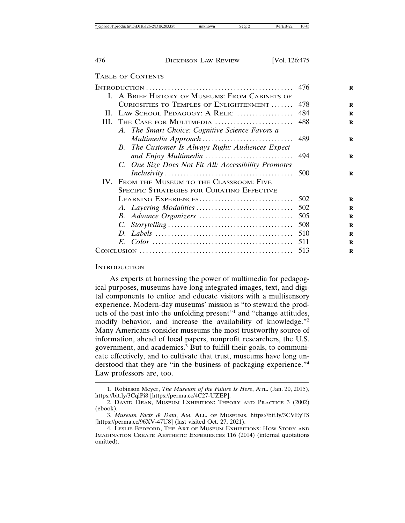#### TABLE OF CONTENTS

|                                            |                                                      | 476 |
|--------------------------------------------|------------------------------------------------------|-----|
|                                            | I. A BRIEF HISTORY OF MUSEUMS: FROM CABINETS OF      |     |
|                                            | CURIOSITIES TO TEMPLES OF ENLIGHTENMENT              | 478 |
| II.                                        | LAW SCHOOL PEDAGOGY: A RELIC                         | 484 |
| III.                                       | THE CASE FOR MULTIMEDIA                              | 488 |
|                                            | A. The Smart Choice: Cognitive Science Favors a      |     |
|                                            |                                                      | 489 |
|                                            | B. The Customer Is Always Right: Audiences Expect    |     |
|                                            | and Enjoy Multimedia  494                            |     |
|                                            | C. One Size Does Not Fit All: Accessibility Promotes |     |
|                                            |                                                      |     |
| IV. FROM THE MUSEUM TO THE CLASSROOM: FIVE |                                                      |     |
| SPECIFIC STRATEGIES FOR CURATING EFFECTIVE |                                                      |     |
|                                            | LEARNING EXPERIENCES                                 | 502 |
|                                            |                                                      | 502 |
|                                            |                                                      |     |
|                                            |                                                      |     |
|                                            |                                                      |     |
|                                            |                                                      | 511 |
|                                            |                                                      | 513 |

#### **INTRODUCTION**

As experts at harnessing the power of multimedia for pedagogical purposes, museums have long integrated images, text, and digital components to entice and educate visitors with a multisensory experience. Modern-day museums' mission is "to steward the products of the past into the unfolding present"<sup>1</sup> and "change attitudes, modify behavior, and increase the availability of knowledge."<sup>2</sup> Many Americans consider museums the most trustworthy source of information, ahead of local papers, nonprofit researchers, the U.S. government, and academics.<sup>3</sup> But to fulfill their goals, to communicate effectively, and to cultivate that trust, museums have long understood that they are "in the business of packaging experience."<sup>4</sup> Law professors are, too.

<sup>1.</sup> Robinson Meyer, *The Museum of the Future Is Here*, ATL. (Jan. 20, 2015), https://bit.ly/3CqlPi8 [https://perma.cc/4C27-UZEP].

<sup>2.</sup> DAVID DEAN, MUSEUM EXHIBITION: THEORY AND PRACTICE 3 (2002) (ebook).

<sup>3.</sup> *Museum Facts & Data*, AM. ALL. OF MUSEUMS, https://bit.ly/3CVEyTS [https://perma.cc/96XV-47U8] (last visited Oct. 27, 2021).

<sup>4.</sup> LESLIE BEDFORD, THE ART OF MUSEUM EXHIBITIONS: HOW STORY AND IMAGINATION CREATE AESTHETIC EXPERIENCES 116 (2014) (internal quotations omitted).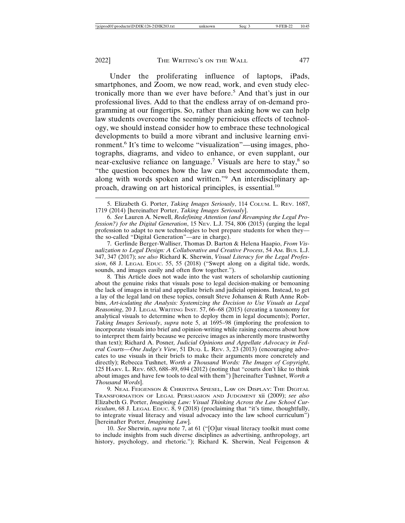Under the proliferating influence of laptops, iPads, smartphones, and Zoom, we now read, work, and even study electronically more than we ever have before.<sup>5</sup> And that's just in our professional lives. Add to that the endless array of on-demand programming at our fingertips. So, rather than asking how we can help law students overcome the seemingly pernicious effects of technology, we should instead consider how to embrace these technological developments to build a more vibrant and inclusive learning environment.<sup>6</sup> It's time to welcome "visualization"—using images, photographs, diagrams, and video to enhance, or even supplant, our near-exclusive reliance on language.<sup>7</sup> Visuals are here to stay,<sup>8</sup> so "the question becomes how the law can best accommodate them, along with words spoken and written."9 An interdisciplinary approach, drawing on art historical principles, is essential.<sup>10</sup>

7. Gerlinde Berger-Walliser, Thomas D. Barton & Helena Haapio, *From Visualization to Legal Design: A Collaborative and Creative Process*, 54 AM. BUS. L.J. 347, 347 (2017); *see also* Richard K. Sherwin, *Visual Literacy for the Legal Profession*, 68 J. LEGAL EDUC. 55, 55 (2018) ("Swept along on a digital tide, words, sounds, and images easily and often flow together.").

8. This Article does not wade into the vast waters of scholarship cautioning about the genuine risks that visuals pose to legal decision-making or bemoaning the lack of images in trial and appellate briefs and judicial opinions. Instead, to get a lay of the legal land on these topics, consult Steve Johansen & Ruth Anne Robbins, *Art-iculating the Analysis: Systemizing the Decision to Use Visuals as Legal Reasoning*, 20 J. LEGAL WRITING INST. 57, 66–68 (2015) (creating a taxonomy for analytical visuals to determine when to deploy them in legal documents); Porter, *Taking Images Seriously*, *supra* note 5, at 1695–98 (imploring the profession to incorporate visuals into brief and opinion-writing while raising concerns about how to interpret them fairly because we perceive images as inherently more trustworthy than text); Richard A. Posner*, Judicial Opinions and Appellate Advocacy in Federal Courts—One Judge's View*, 51 DUQ. L. REV. 3, 23 (2013) (encouraging advocates to use visuals in their briefs to make their arguments more concretely and directly); Rebecca Tushnet, *Worth a Thousand Words: The Images of Copyright*, 125 HARV. L. REV. 683, 688–89, 694 (2012) (noting that "courts don't like to think about images and have few tools to deal with them") [hereinafter Tushnet, *Worth a Thousand Words*].

9. NEAL FEIGENSON & CHRISTINA SPIESEL, LAW ON DISPLAY: THE DIGITAL TRANSFORMATION OF LEGAL PERSUASION AND JUDGMENT xii (2009); *see also* Elizabeth G. Porter, *Imagining Law: Visual Thinking Across the Law School Curriculum*, 68 J. LEGAL EDUC.  $\overline{8}$ , 9 (2018) (proclaiming that "it's time, thoughtfully, to integrate visual literacy and visual advocacy into the law school curriculum") [hereinafter Porter, *Imagining Law*].

10. *See* Sherwin, *supra* note 7, at 61 ("[O]ur visual literacy toolkit must come to include insights from such diverse disciplines as advertising, anthropology, art history, psychology, and rhetoric."); Richard K. Sherwin, Neal Feigenson &

<sup>5.</sup> Elizabeth G. Porter, *Taking Images Seriously*, 114 COLUM. L. REV. 1687, 1719 (2014) [hereinafter Porter, *Taking Images Seriously*].

<sup>6.</sup> *See* Lauren A. Newell, *Redefining Attention (and Revamping the Legal Profession?) for the Digital Generation*, 15 Nev. L.J. 754, 806 (2015) (urging the legal profession to adapt to new technologies to best prepare students for when they the so-called "Digital Generation"—are in charge).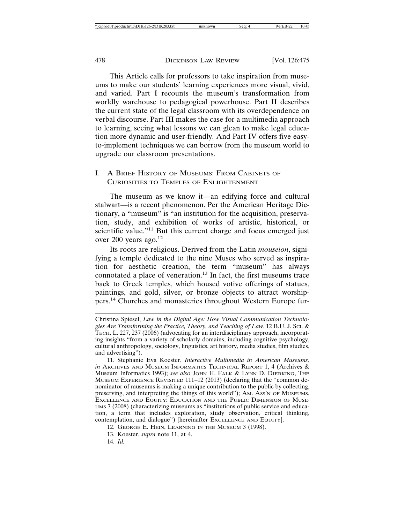This Article calls for professors to take inspiration from museums to make our students' learning experiences more visual, vivid, and varied. Part I recounts the museum's transformation from worldly warehouse to pedagogical powerhouse. Part II describes the current state of the legal classroom with its overdependence on verbal discourse. Part III makes the case for a multimedia approach to learning, seeing what lessons we can glean to make legal education more dynamic and user-friendly. And Part IV offers five easyto-implement techniques we can borrow from the museum world to upgrade our classroom presentations.

#### I. A BRIEF HISTORY OF MUSEUMS: FROM CABINETS OF CURIOSITIES TO TEMPLES OF ENLIGHTENMENT

The museum as we know it—an edifying force and cultural stalwart—is a recent phenomenon. Per the American Heritage Dictionary, a "museum" is "an institution for the acquisition, preservation, study, and exhibition of works of artistic, historical, or scientific value."<sup>11</sup> But this current charge and focus emerged just over 200 years ago.<sup>12</sup>

Its roots are religious. Derived from the Latin *mouseion*, signifying a temple dedicated to the nine Muses who served as inspiration for aesthetic creation, the term "museum" has always connotated a place of veneration.13 In fact, the first museums trace back to Greek temples, which housed votive offerings of statues, paintings, and gold, silver, or bronze objects to attract worshippers.14 Churches and monasteries throughout Western Europe fur-

Christina Spiesel, *Law in the Digital Age: How Visual Communication Technologies Are Transforming the Practice, Theory, and Teaching of Law*, 12 B.U. J. SCI. & TECH. L. 227, 237 (2006) (advocating for an interdisciplinary approach, incorporating insights "from a variety of scholarly domains, including cognitive psychology, cultural anthropology, sociology, linguistics, art history, media studies, film studies, and advertising").

11. Stephanie Eva Koester, *Interactive Multimedia in American Museums*, *in* ARCHIVES AND MUSEUM INFORMATICS TECHNICAL REPORT 1, 4 (Archives & Museum Informatics 1993); *see also* JOHN H. FALK & LYNN D. DIERKING, THE MUSEUM EXPERIENCE REVISITED 111–12 (2013) (declaring that the "common denominator of museums is making a unique contribution to the public by collecting, preserving, and interpreting the things of this world"); AM. ASS'N OF MUSEUMS, EXCELLENCE AND EQUITY: EDUCATION AND THE PUBLIC DIMENSION OF MUSE-UMS 7 (2008) (characterizing museums as "institutions of public service and education, a term that includes exploration, study observation, critical thinking, contemplation, and dialogue") [hereinafter EXCELLENCE AND EQUITY].

12. GEORGE E. HEIN, LEARNING IN THE MUSEUM 3 (1998).

13. Koester, *supra* note 11, at 4.

14. *Id.*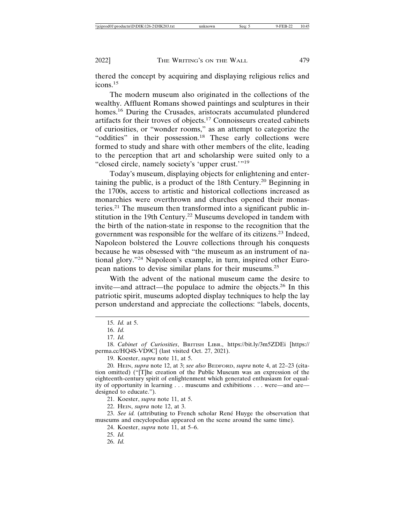thered the concept by acquiring and displaying religious relics and icons.<sup>15</sup>

The modern museum also originated in the collections of the wealthy. Affluent Romans showed paintings and sculptures in their homes.<sup>16</sup> During the Crusades, aristocrats accumulated plundered artifacts for their troves of objects.17 Connoisseurs created cabinets of curiosities, or "wonder rooms," as an attempt to categorize the "oddities" in their possession.<sup>18</sup> These early collections were formed to study and share with other members of the elite, leading to the perception that art and scholarship were suited only to a "closed circle, namely society's 'upper crust.'"<sup>19</sup>

Today's museum, displaying objects for enlightening and entertaining the public, is a product of the 18th Century.<sup>20</sup> Beginning in the 1700s, access to artistic and historical collections increased as monarchies were overthrown and churches opened their monasteries.21 The museum then transformed into a significant public institution in the 19th Century.22 Museums developed in tandem with the birth of the nation-state in response to the recognition that the government was responsible for the welfare of its citizens.23 Indeed, Napoleon bolstered the Louvre collections through his conquests because he was obsessed with "the museum as an instrument of national glory."24 Napoleon's example, in turn, inspired other European nations to devise similar plans for their museums.<sup>25</sup>

With the advent of the national museum came the desire to invite—and attract—the populace to admire the objects.26 In this patriotic spirit, museums adopted display techniques to help the lay person understand and appreciate the collections: "labels, docents,

<sup>15.</sup> *Id.* at 5.

<sup>16.</sup> *Id.*

<sup>17.</sup> *Id.*

<sup>18.</sup> *Cabinet of Curiosities*, BRITISH LIBR., https://bit.ly/3m5ZDEi [https:// perma.cc/HQ4S-VD9C] (last visited Oct. 27, 2021).

<sup>19.</sup> Koester, *supra* note 11, at 5.

<sup>20.</sup> HEIN, *supra* note 12, at 3; *see also* BEDFORD, *supra* note 4, at 22–23 (citation omitted) ("[T]he creation of the Public Museum was an expression of the eighteenth-century spirit of enlightenment which generated enthusiasm for equality of opportunity in learning . . . museums and exhibitions . . . were—and are designed to educate.").

<sup>21.</sup> Koester, *supra* note 11, at 5.

<sup>22.</sup> HEIN, *supra* note 12, at 3.

<sup>23.</sup> See id. (attributing to French scholar René Huyge the observation that museums and encyclopedias appeared on the scene around the same time).

<sup>24.</sup> Koester, *supra* note 11, at 5–6.

<sup>25.</sup> *Id.*

<sup>26.</sup> *Id.*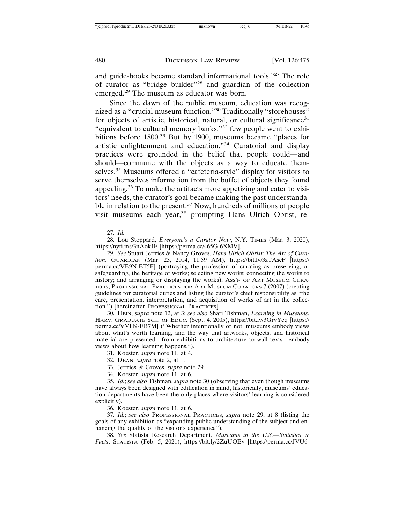and guide-books became standard informational tools."27 The role of curator as "bridge builder"28 and guardian of the collection emerged.29 The museum as educator was born.

Since the dawn of the public museum, education was recognized as a "crucial museum function."30 Traditionally "storehouses" for objects of artistic, historical, natural, or cultural significance<sup>31</sup> "equivalent to cultural memory banks,"32 few people went to exhibitions before 1800.33 But by 1900, museums became "places for artistic enlightenment and education."34 Curatorial and display practices were grounded in the belief that people could—and should—commune with the objects as a way to educate themselves.35 Museums offered a "cafeteria-style" display for visitors to serve themselves information from the buffet of objects they found appealing.36 To make the artifacts more appetizing and cater to visitors' needs, the curator's goal became making the past understandable in relation to the present.<sup>37</sup> Now, hundreds of millions of people visit museums each year,38 prompting Hans Ulrich Obrist, re-

28. Lou Stoppard, *Everyone's a Curator Now*, N.Y. TIMES (Mar. 3, 2020), https://nyti.ms/3nAokJF [https://perma.cc/465G-6XMV].

29. *See* Stuart Jeffries & Nancy Groves, *Hans Ulrich Obrist: The Art of Curation*, GUARDIAN (Mar. 23, 2014, 11:59 AM), https://bit.ly/3zTAscF [https:// perma.cc/VE9N-ET5F] (portraying the profession of curating as preserving, or safeguarding, the heritage of works; selecting new works; connecting the works to history; and arranging or displaying the works); Ass'n OF ART MUSEUM CURA-TORS, PROFESSIONAL PRACTICES FOR ART MUSEUM CURATORS 7 (2007) (creating guidelines for curatorial duties and listing the curator's chief responsibility as "the care, presentation, interpretation, and acquisition of works of art in the collection.") [hereinafter PROFESSIONAL PRACTICES].

30. HEIN, *supra* note 12, at 3; *see also* Shari Tishman, *Learning in Museums*, HARV. GRADUATE SCH. OF EDUC. (Sept. 4, 2005), https://bit.ly/3GryYeq [https:// perma.cc/VVH9-EB7M] ("Whether intentionally or not, museums embody views about what's worth learning, and the way that artworks, objects, and historical material are presented—from exhibitions to architecture to wall texts—embody views about how learning happens.").

31. Koester, *supra* note 11, at 4.

- 32. DEAN, *supra* note 2, at 1.
- 33. Jeffries & Groves, *supra* note 29.
- 34. Koester, *supra* note 11, at 6.

35. *Id.*; *see also* Tishman, *supra* note 30 (observing that even though museums have always been designed with edification in mind, historically, museums' education departments have been the only places where visitors' learning is considered explicitly).

36. Koester, *supra* note 11, at 6.

37. *Id.*; *see also* PROFESSIONAL PRACTICES, *supra* note 29, at 8 (listing the goals of any exhibition as "expanding public understanding of the subject and enhancing the quality of the visitor's experience").

38. *See* Statista Research Department, *Museums in the U.S.—Statistics & Facts*, STATISTA (Feb. 5, 2021), https://bit.ly/2ZuUQEv [https://perma.cc/JVU6-

<sup>27.</sup> *Id.*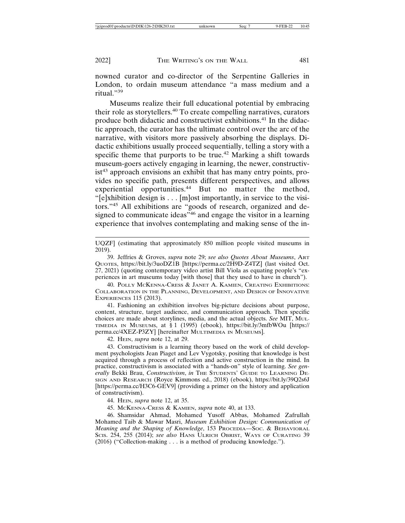nowned curator and co-director of the Serpentine Galleries in London, to ordain museum attendance "a mass medium and a ritual."<sup>39</sup>

Museums realize their full educational potential by embracing their role as storytellers.40 To create compelling narratives, curators produce both didactic and constructivist exhibitions.41 In the didactic approach, the curator has the ultimate control over the arc of the narrative, with visitors more passively absorbing the displays. Didactic exhibitions usually proceed sequentially, telling a story with a specific theme that purports to be true.<sup>42</sup> Marking a shift towards museum-goers actively engaging in learning, the newer, constructivist<sup>43</sup> approach envisions an exhibit that has many entry points, provides no specific path, presents different perspectives, and allows experiential opportunities.<sup>44</sup> But no matter the method, "[e]xhibition design is . . . [m]ost importantly, in service to the visitors."45 All exhibitions are "goods of research, organized and designed to communicate ideas<sup>346</sup> and engage the visitor in a learning experience that involves contemplating and making sense of the in-

40. POLLY MCKENNA-CRESS & JANET A. KAMIEN, CREATING EXHIBITIONS: COLLABORATION IN THE PLANNING, DEVELOPMENT, AND DESIGN OF INNOVATIVE EXPERIENCES 115 (2013).

41. Fashioning an exhibition involves big-picture decisions about purpose, content, structure, target audience, and communication approach. Then specific choices are made about storylines, media, and the actual objects. *See* MIT, MUL-TIMEDIA IN MUSEUMS, at § 1 (1995) (ebook), https://bit.ly/3mfbWOu [https:// perma.cc/4XEZ-P3ZY] [hereinafter MULTIMEDIA IN MUSEUMS].

42. HEIN, *supra* note 12, at 29.

43. Constructivism is a learning theory based on the work of child development psychologists Jean Piaget and Lev Vygotsky, positing that knowledge is best acquired through a process of reflection and active construction in the mind. In practice, constructivism is associated with a "hands-on" style of learning. *See generally* Bekki Brau, *Constructivism*, *in* THE STUDENTS' GUIDE TO LEARNING DE-SIGN AND RESEARCH (Royce Kimmons ed., 2018) (ebook), https://bit.ly/39Q2s6J [https://perma.cc/H3C6-GEV9] (providing a primer on the history and application of constructivism).

44. HEIN, *supra* note 12, at 35.

45. MCKENNA-CRESS & KAMIEN, *supra* note 40, at 133.

46. Shamsidar Ahmad, Mohamed Yusoff Abbas, Mohamed Zafrullah Mohamed Taib & Mawar Masri, *Museum Exhibition Design: Communication of Meaning and the Shaping of Knowledge*, 153 PROCEDIA—SOC. & BEHAVIORAL SCIS. 254, 255 (2014); *see also* HANS ULRICH OBRIST, WAYS OF CURATING 39 (2016) ("Collection-making . . . is a method of producing knowledge.").

UQZF] (estimating that approximately 850 million people visited museums in 2019).

<sup>39.</sup> Jeffries & Groves, *supra* note 29; *see also Quotes About Museums*, ART QUOTES, https://bit.ly/3uoDZ1B [https://perma.cc/2H9D-Z4TZ] (last visited Oct. 27, 2021) (quoting contemporary video artist Bill Viola as equating people's "experiences in art museums today [with those] that they used to have in church").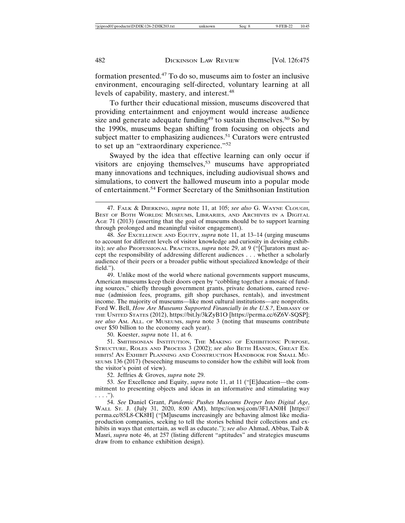formation presented.47 To do so, museums aim to foster an inclusive environment, encouraging self-directed, voluntary learning at all levels of capability, mastery, and interest.<sup>48</sup>

To further their educational mission, museums discovered that providing entertainment and enjoyment would increase audience size and generate adequate funding<sup>49</sup> to sustain themselves.<sup>50</sup> So by the 1990s, museums began shifting from focusing on objects and subject matter to emphasizing audiences.<sup>51</sup> Curators were entrusted to set up an "extraordinary experience."<sup>52</sup>

Swayed by the idea that effective learning can only occur if visitors are enjoying themselves,<sup>53</sup> museums have appropriated many innovations and techniques, including audiovisual shows and simulations, to convert the hallowed museum into a popular mode of entertainment.54 Former Secretary of the Smithsonian Institution

49. Unlike most of the world where national governments support museums, American museums keep their doors open by "cobbling together a mosaic of funding sources," chiefly through government grants, private donations, earned revenue (admission fees, programs, gift shop purchases, rentals), and investment income. The majority of museums—like most cultural institutions—are nonprofits. Ford W. Bell, *How Are Museums Supported Financially in the U.S.?*, EMBASSY OF THE UNITED STATES (2012), https://bit.ly/3kZyB1O [https://perma.cc/6Z6V-SQSP]; *see also* AM. ALL. OF MUSEUMS, *supra* note 3 (noting that museums contribute over \$50 billion to the economy each year).

50. Koester, *supra* note 11, at 6.

51. SMITHSONIAN INSTITUTION, THE MAKING OF EXHIBITIONS: PURPOSE, STRUCTURE, ROLES AND PROCESS 3 (2002); *see also* BETH HANSEN, GREAT EX-HIBITS! AN EXHIBIT PLANNING AND CONSTRUCTION HANDBOOK FOR SMALL MU-SEUMS 136 (2017) (beseeching museums to consider how the exhibit will look from the visitor's point of view).

52. Jeffries & Groves, *supra* note 29.

53. *See* Excellence and Equity, *supra* note 11, at 11 ("[E]ducation—the commitment to presenting objects and ideas in an informative and stimulating way  $\ldots$ .").

54. *See* Daniel Grant, *Pandemic Pushes Museums Deeper Into Digital Age*, WALL ST. J. (July 31, 2020, 8:00 AM), https://on.wsj.com/3F1AN0H [https:// perma.cc/85L8-CK8H] ("[M]useums increasingly are behaving almost like mediaproduction companies, seeking to tell the stories behind their collections and exhibits in ways that entertain, as well as educate."); *see also* Ahmad, Abbas, Taib & Masri, *supra* note 46, at 257 (listing different "aptitudes" and strategies museums draw from to enhance exhibition design).

<sup>47.</sup> FALK & DIERKING, *supra* note 11, at 105; *see also* G. WAYNE CLOUGH, BEST OF BOTH WORLDS: MUSEUMS, LIBRARIES, AND ARCHIVES IN A DIGITAL AGE 71 (2013) (asserting that the goal of museums should be to support learning through prolonged and meaningful visitor engagement).

<sup>48.</sup> *See* EXCELLENCE AND EQUITY, *supra* note 11, at 13–14 (urging museums to account for different levels of visitor knowledge and curiosity in devising exhibits); *see also* PROFESSIONAL PRACTICES, *supra* note 29, at 9 ("[C]urators must accept the responsibility of addressing different audiences . . . whether a scholarly audience of their peers or a broader public without specialized knowledge of their field.").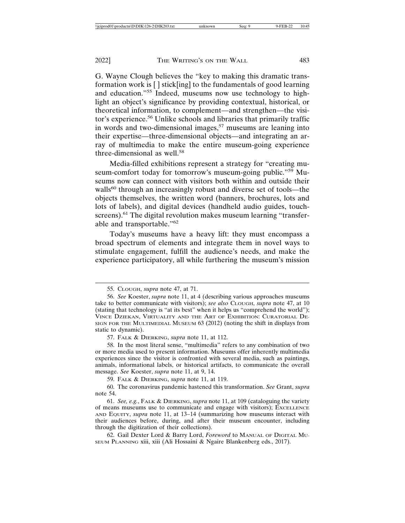G. Wayne Clough believes the "key to making this dramatic transformation work is [ ] stick[ing] to the fundamentals of good learning and education."55 Indeed, museums now use technology to highlight an object's significance by providing contextual, historical, or theoretical information, to complement—and strengthen—the visitor's experience.<sup>56</sup> Unlike schools and libraries that primarily traffic in words and two-dimensional images,<sup>57</sup> museums are leaning into their expertise—three-dimensional objects—and integrating an array of multimedia to make the entire museum-going experience three-dimensional as well.<sup>58</sup>

Media-filled exhibitions represent a strategy for "creating museum-comfort today for tomorrow's museum-going public."<sup>59</sup> Museums now can connect with visitors both within and outside their walls<sup>60</sup> through an increasingly robust and diverse set of tools—the objects themselves, the written word (banners, brochures, lots and lots of labels), and digital devices (handheld audio guides, touchscreens).<sup>61</sup> The digital revolution makes museum learning "transferable and transportable."<sup>62</sup>

Today's museums have a heavy lift: they must encompass a broad spectrum of elements and integrate them in novel ways to stimulate engagement, fulfill the audience's needs, and make the experience participatory, all while furthering the museum's mission

58. In the most literal sense, "multimedia" refers to any combination of two or more media used to present information. Museums offer inherently multimedia experiences since the visitor is confronted with several media, such as paintings, animals, informational labels, or historical artifacts, to communicate the overall message. *See* Koester, *supra* note 11, at 9, 14.

59. FALK & DIERKING, *supra* note 11, at 119.

62. Gail Dexter Lord & Barry Lord, *Foreword* to MANUAL OF DIGITAL MU-SEUM PLANNING xiii, xiii (Ali Hossaini & Ngaire Blankenberg eds., 2017).

<sup>55.</sup> CLOUGH, *supra* note 47, at 71.

<sup>56.</sup> *See* Koester, *supra* note 11, at 4 (describing various approaches museums take to better communicate with visitors); *see also* CLOUGH, *supra* note 47, at 10 (stating that technology is "at its best" when it helps us "comprehend the world"); VINCE DZIEKAN, VIRTUALITY AND THE ART OF EXHIBITION: CURATORIAL DE-SIGN FOR THE MULTIMEDIAL MUSEUM 63 (2012) (noting the shift in displays from static to dynamic).

<sup>57.</sup> FALK & DIERKING, *supra* note 11, at 112.

<sup>60.</sup> The coronavirus pandemic hastened this transformation. *See* Grant, *supra* note 54.

<sup>61.</sup> *See, e.g.*, FALK & DIERKING, *supra* note 11, at 109 (cataloguing the variety of means museums use to communicate and engage with visitors); EXCELLENCE AND EQUITY, *supra* note 11, at 13–14 (summarizing how museums interact with their audiences before, during, and after their museum encounter, including through the digitization of their collections).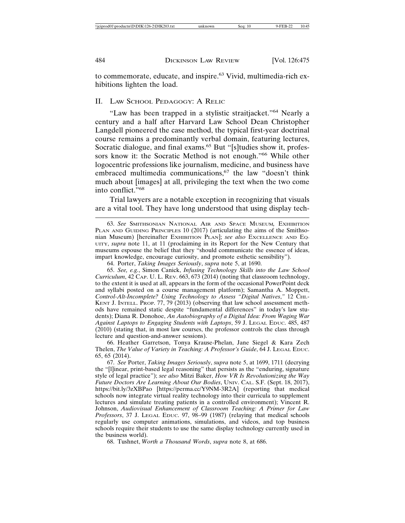to commemorate, educate, and inspire.63 Vivid, multimedia-rich exhibitions lighten the load.

#### II. LAW SCHOOL PEDAGOGY: A RELIC

"Law has been trapped in a stylistic straitjacket."64 Nearly a century and a half after Harvard Law School Dean Christopher Langdell pioneered the case method, the typical first-year doctrinal course remains a predominantly verbal domain, featuring lectures, Socratic dialogue, and final exams.<sup>65</sup> But "[s]tudies show it, professors know it: the Socratic Method is not enough."66 While other logocentric professions like journalism, medicine, and business have embraced multimedia communications,<sup>67</sup> the law "doesn't think much about [images] at all, privileging the text when the two come into conflict."<sup>68</sup>

Trial lawyers are a notable exception in recognizing that visuals are a vital tool. They have long understood that using display tech-

64. Porter, *Taking Images Seriously*, *supra* note 5, at 1690.

65. *See, e.g.*, Simon Canick, *Infusing Technology Skills into the Law School Curriculum*, 42 CAP. U. L. REV. 663, 673 (2014) (noting that classroom technology, to the extent it is used at all, appears in the form of the occasional PowerPoint deck and syllabi posted on a course management platform); Samantha A. Moppett, *Control-Alt-Incomplete? Using Technology to Assess "Digital Natives*,*"* 12 CHI.- KENT J. INTELL. PROP. 77, 79 (2013) (observing that law school assessment methods have remained static despite "fundamental differences" in today's law students); Diana R. Donohoe, *An Autobiography of a Digital Idea: From Waging War Against Laptops to Engaging Students with Laptops*, 59 J. LEGAL EDUC. 485, 487 (2010) (stating that, in most law courses, the professor controls the class through lecture and question-and-answer sessions).

66. Heather Garretson, Tonya Krause-Phelan, Jane Siegel & Kara Zech Thelen, *The Value of Variety in Teaching: A Professor's Guide*, 64 J. LEGAL EDUC. 65, 65 (2014).

67. *See* Porter, *Taking Images Seriously*, *supra* note 5, at 1699, 1711 (decrying the "[l]inear, print-based legal reasoning" that persists as the "enduring, signature style of legal practice"); *see also* Mitzi Baker, *How VR Is Revolutionizing the Way Future Doctors Are Learning About Our Bodies*, UNIV. CAL. S.F. (Sept. 18, 2017), https://bit.ly/3zXBPao [https://perma.cc/Y9NM-3R2A] (reporting that medical schools now integrate virtual reality technology into their curricula to supplement lectures and simulate treating patients in a controlled environment); Vincent R. Johnson, *Audiovisual Enhancement of Classroom Teaching: A Primer for Law Professors*, 37 J. LEGAL EDUC. 97, 98–99 (1987) (relaying that medical schools regularly use computer animations, simulations, and videos, and top business schools require their students to use the same display technology currently used in the business world).

68. Tushnet, *Worth a Thousand Words*, *supra* note 8, at 686.

<sup>63.</sup> *See* SMITHSONIAN NATIONAL AIR AND SPACE MUSEUM*,* EXHIBITION PLAN AND GUIDING PRINCIPLES 10 (2017) (articulating the aims of the Smithsonian Museum) [hereinafter EXHIBITION PLAN]; *see also* EXCELLENCE AND EQ-UITY, *supra* note 11, at 11 (proclaiming in its Report for the New Century that museums espouse the belief that they "should communicate the essence of ideas, impart knowledge, encourage curiosity, and promote esthetic sensibility").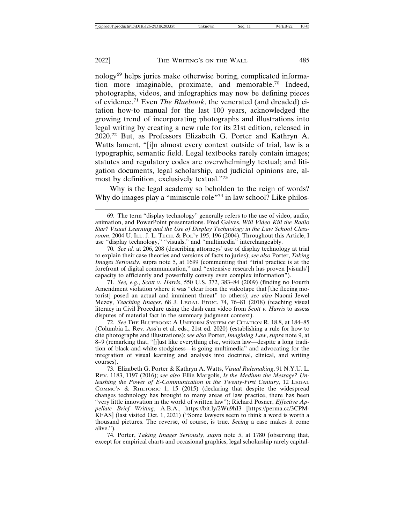nology69 helps juries make otherwise boring, complicated information more imaginable, proximate, and memorable.70 Indeed, photographs, videos, and infographics may now be defining pieces of evidence.71 Even *The Bluebook*, the venerated (and dreaded) citation how-to manual for the last 100 years, acknowledged the growing trend of incorporating photographs and illustrations into legal writing by creating a new rule for its 21st edition, released in 2020.72 But, as Professors Elizabeth G. Porter and Kathryn A. Watts lament, "[i]n almost every context outside of trial, law is a typographic, semantic field. Legal textbooks rarely contain images; statutes and regulatory codes are overwhelmingly textual; and litigation documents, legal scholarship, and judicial opinions are, almost by definition, exclusively textual."<sup>73</sup>

Why is the legal academy so beholden to the reign of words? Why do images play a "miniscule role"<sup>74</sup> in law school? Like philos-

71. *See, e.g.*, *Scott v. Harris*, 550 U.S. 372, 383–84 (2009) (finding no Fourth Amendment violation where it was "clear from the videotape that [the fleeing motorist] posed an actual and imminent threat" to others); *see also* Naomi Jewel Mezey, *Teaching Images*, 68 J. LEGAL EDUC. 74, 76–81 (2018) (teaching visual literacy in Civil Procedure using the dash cam video from *Scott v. Harris* to assess disputes of material fact in the summary judgment context).

72. *See* THE BLUEBOOK: A UNIFORM SYSTEM OF CITATION R. 18.8, at 184–85 (Columbia L. Rev. Ass'n et al. eds., 21st ed. 2020) (establishing a rule for how to cite photographs and illustrations); *see also* Porter, *Imagining Law*, *supra* note 9, at 8–9 (remarking that, "[j]ust like everything else, written law—despite a long tradition of black-and-white stodginess—is going multimedia" and advocating for the integration of visual learning and analysis into doctrinal, clinical, and writing courses).

73. Elizabeth G. Porter & Kathryn A. Watts, *Visual Rulemaking*, 91 N.Y.U. L. REV. 1183, 1197 (2016); *see also* Ellie Margolis, *Is the Medium the Message? Unleashing the Power of E-Communication in the Twenty-First Century*, 12 LEGAL COMMC'N & RHETORIC 1, 15 (2015) (declaring that despite the widespread changes technology has brought to many areas of law practice, there has been "very little innovation in the world of written law"); Richard Posner, *Effective Appellate Brief Writing*, A.B.A., https://bit.ly/2Wu9hI3 [https://perma.cc/3CPM-KFAS] (last visited Oct. 1, 2021) ("Some lawyers seem to think a word is worth a thousand pictures. The reverse, of course, is true. *Seeing* a case makes it come alive.").

74. Porter, *Taking Images Seriously*, *supra* note 5, at 1780 (observing that, except for empirical charts and occasional graphics, legal scholarship rarely capital-

<sup>69.</sup> The term "display technology" generally refers to the use of video, audio, animation, and PowerPoint presentations. Fred Galves, *Will Video Kill the Radio Star? Visual Learning and the Use of Display Technology in the Law School Classroom*, 2004 U. ILL. J. L. TECH. & POL'Y 195, 196 (2004). Throughout this Article, I use "display technology," "visuals," and "multimedia" interchangeably.

<sup>70.</sup> *See id.* at 206, 208 (describing attorneys' use of display technology at trial to explain their case theories and versions of facts to juries); *see also* Porter, *Taking Images Seriously*, supra note 5, at 1699 (commenting that "trial practice is at the forefront of digital communication," and "extensive research has proven [visuals'] capacity to efficiently and powerfully convey even complex information").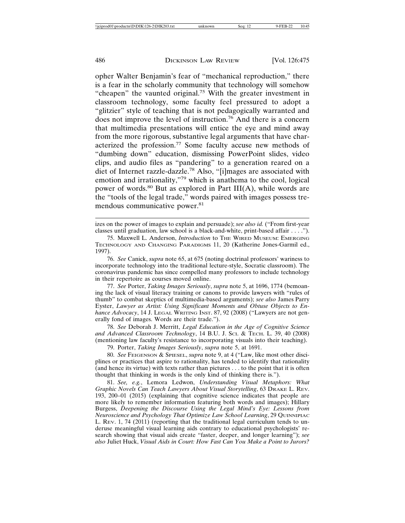opher Walter Benjamin's fear of "mechanical reproduction," there is a fear in the scholarly community that technology will somehow "cheapen" the vaunted original.75 With the greater investment in classroom technology, some faculty feel pressured to adopt a "glitzier" style of teaching that is not pedagogically warranted and does not improve the level of instruction.76 And there is a concern that multimedia presentations will entice the eye and mind away from the more rigorous, substantive legal arguments that have characterized the profession.<sup>77</sup> Some faculty accuse new methods of "dumbing down" education, dismissing PowerPoint slides, video clips, and audio files as "pandering" to a generation reared on a diet of Internet razzle-dazzle.78 Also, "[i]mages are associated with emotion and irrationality,"79 which is anathema to the cool, logical power of words.80 But as explored in Part III(A), while words are the "tools of the legal trade," words paired with images possess tremendous communicative power.<sup>81</sup>

77. *See* Porter, *Taking Images Seriously*, *supra* note 5, at 1696, 1774 (bemoaning the lack of visual literacy training or canons to provide lawyers with "rules of thumb" to combat skeptics of multimedia-based arguments); *see also* James Parry Eyster, *Lawyer as Artist: Using Significant Moments and Obtuse Objects to Enhance Advocacy*, 14 J. LEGAL WRITING INST. 87, 92 (2008) ("Lawyers are not generally fond of images. Words are their trade.").

78. *See* Deborah J. Merritt, *Legal Education in the Age of Cognitive Science and Advanced Classroom Technology*, 14 B.U. J. SCI. & TECH. L. 39, 40 (2008) (mentioning law faculty's resistance to incorporating visuals into their teaching).

79. Porter, *Taking Images Seriously*, *supra* note 5, at 1691.

80. *See* FEIGENSON & SPIESEL, *supra* note 9, at 4 ("Law, like most other disciplines or practices that aspire to rationality, has tended to identify that rationality (and hence its virtue) with texts rather than pictures . . . to the point that it is often thought that thinking in words is the only kind of thinking there is.").

81. *See, e.g.*, Lemora Ledwon, *Understanding Visual Metaphors: What Graphic Novels Can Teach Lawyers About Visual Storytelling*, 63 DRAKE L. REV. 193, 200–01 (2015) (explaining that cognitive science indicates that people are more likely to remember information featuring both words and images); Hillary Burgess, *Deepening the Discourse Using the Legal Mind's Eye: Lessons from Neuroscience and Psychology That Optimize Law School Learning*, 29 QUINNIPIAC L. REV. 1, 74 (2011) (reporting that the traditional legal curriculum tends to underuse meaningful visual learning aids contrary to educational psychologists' research showing that visual aids create "faster, deeper, and longer learning"); *see also* Juliet Huck, *Visual Aids in Court: How Fast Can You Make a Point to Jurors?*

izes on the power of images to explain and persuade); *see also id.* ("From first-year classes until graduation, law school is a black-and-white, print-based affair . . . .").

<sup>75.</sup> Maxwell L. Anderson, *Introduction* to THE WIRED MUSEUM: EMERGING TECHNOLOGY AND CHANGING PARADIGMS 11, 20 (Katherine Jones-Garmil ed., 1997).

<sup>76.</sup> *See* Canick, *supra* note 65, at 675 (noting doctrinal professors' wariness to incorporate technology into the traditional lecture-style, Socratic classroom). The coronavirus pandemic has since compelled many professors to include technology in their repertoire as courses moved online.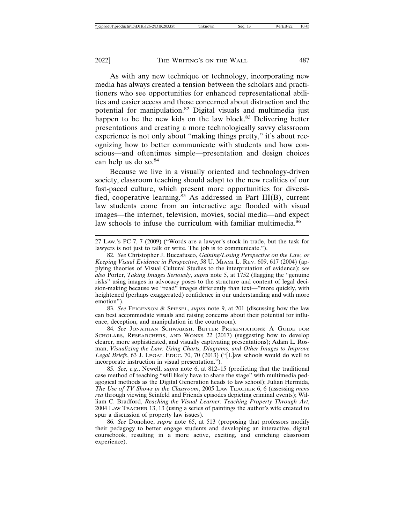As with any new technique or technology, incorporating new media has always created a tension between the scholars and practitioners who see opportunities for enhanced representational abilities and easier access and those concerned about distraction and the potential for manipulation.82 Digital visuals and multimedia just happen to be the new kids on the law block.<sup>83</sup> Delivering better presentations and creating a more technologically savvy classroom experience is not only about "making things pretty," it's about recognizing how to better communicate with students and how conscious—and oftentimes simple—presentation and design choices can help us do so.<sup>84</sup>

Because we live in a visually oriented and technology-driven society, classroom teaching should adapt to the new realities of our fast-paced culture, which present more opportunities for diversified, cooperative learning.<sup>85</sup> As addressed in Part III(B), current law students come from an interactive age flooded with visual images—the internet, television, movies, social media—and expect law schools to infuse the curriculum with familiar multimedia.<sup>86</sup>

27 LAW.'S PC 7, 7 (2009) ("Words are a lawyer's stock in trade, but the task for lawyers is not just to talk or write. The job is to communicate.").

82. *See* Christopher J. Buccafusco, *Gaining/Losing Perspective on the Law, or Keeping Visual Evidence in Perspective*, 58 U. MIAMI L. REV. 609, 617 (2004) (applying theories of Visual Cultural Studies to the interpretation of evidence); *see also* Porter, *Taking Images Seriously*, *supra* note 5, at 1752 (flagging the "genuine risks" using images in advocacy poses to the structure and content of legal decision-making because we "read" images differently than text—"more quickly, with heightened (perhaps exaggerated) confidence in our understanding and with more emotion").

83. *See* FEIGENSON & SPIESEL, *supra* note 9, at 201 (discussing how the law can best accommodate visuals and raising concerns about their potential for influence, deception, and manipulation in the courtroom).

84. *See* JONATHAN SCHWABISH, BETTER PRESENTATIONS: A GUIDE FOR SCHOLARS, RESEARCHERS, AND WONKS 22 (2017) (suggesting how to develop clearer, more sophisticated, and visually captivating presentations); Adam L. Rosman, *Visualizing the Law: Using Charts, Diagrams, and Other Images to Improve Legal Briefs*, 63 J. LEGAL EDUC. 70, 70 (2013) ("[L]aw schools would do well to incorporate instruction in visual presentation.").

85. *See, e.g.*, Newell, *supra* note 6, at 812–15 (predicting that the traditional case method of teaching "will likely have to share the stage" with multimedia pedagogical methods as the Digital Generation heads to law school); Julian Hermida, *The Use of TV Shows in the Classroom*, 2005 LAW TEACHER 6, 6 (assessing *mens rea* through viewing Seinfeld and Friends episodes depicting criminal events); William C. Bradford, *Reaching the Visual Learner: Teaching Property Through Art*, 2004 LAW TEACHER 13, 13 (using a series of paintings the author's wife created to spur a discussion of property law issues).

86. *See* Donohoe, *supra* note 65, at 513 (proposing that professors modify their pedagogy to better engage students and developing an interactive, digital coursebook, resulting in a more active, exciting, and enriching classroom experience).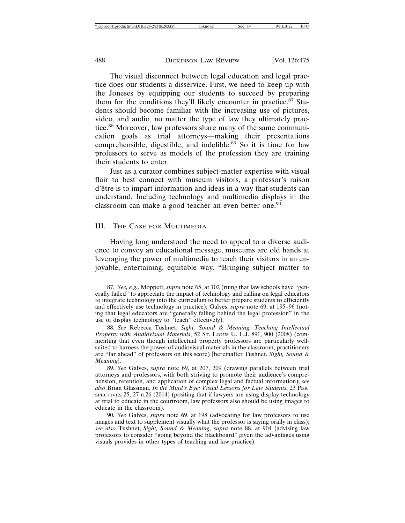The visual disconnect between legal education and legal practice does our students a disservice. First, we need to keep up with the Joneses by equipping our students to succeed by preparing them for the conditions they'll likely encounter in practice.<sup>87</sup> Students should become familiar with the increasing use of pictures, video, and audio, no matter the type of law they ultimately practice.88 Moreover, law professors share many of the same communication goals as trial attorneys—making their presentations comprehensible, digestible, and indelible.<sup>89</sup> So it is time for law professors to serve as models of the profession they are training their students to enter.

Just as a curator combines subject-matter expertise with visual flair to best connect with museum visitors, a professor's raison d'être is to impart information and ideas in a way that students can understand. Including technology and multimedia displays in the classroom can make a good teacher an even better one.<sup>90</sup>

#### III. THE CASE FOR MULTIMEDIA

Having long understood the need to appeal to a diverse audience to convey an educational message, museums are old hands at leveraging the power of multimedia to teach their visitors in an enjoyable, entertaining, equitable way. "Bringing subject matter to

<sup>87.</sup> *See, e.g.*, Moppett, *supra* note 65, at 102 (ruing that law schools have "generally failed" to appreciate the impact of technology and calling on legal educators to integrate technology into the curriculum to better prepare students to efficiently and effectively use technology in practice); Galves, *supra* note 69, at 195–96 (noting that legal educators are "generally falling behind the legal profession" in the use of display technology to "teach" effectively).

<sup>88.</sup> *See* Rebecca Tushnet, *Sight, Sound & Meaning: Teaching Intellectual Property with Audiovisual Materials*, 52 ST. LOUIS U. L.J. 891, 900 (2008) (commenting that even though intellectual property professors are particularly wellsuited to harness the power of audiovisual materials in the classroom, practitioners are "far ahead" of professors on this score) [hereinafter Tushnet, *Sight, Sound & Meaning*].

<sup>89.</sup> *See* Galves, *supra* note 69, at 207, 209 (drawing parallels between trial attorneys and professors, with both striving to promote their audience's comprehension, retention, and application of complex legal and factual information); *see also* Brian Glassman, *In the Mind's Eye: Visual Lessons for Law Students*, 23 PER-SPECTIVES 25, 27 n.26 (2014) (positing that if lawyers are using display technology at trial to educate in the courtroom, law professors also should be using images to educate in the classroom).

<sup>90.</sup> *See* Galves, *supra* note 69, at 198 (advocating for law professors to use images and text to supplement visually what the professor is saying orally in class); *see also* Tushnet, *Sight, Sound & Meaning*, *supra* note 88, at 904 (advising law professors to consider "going beyond the blackboard" given the advantages using visuals provides in other types of teaching and law practice).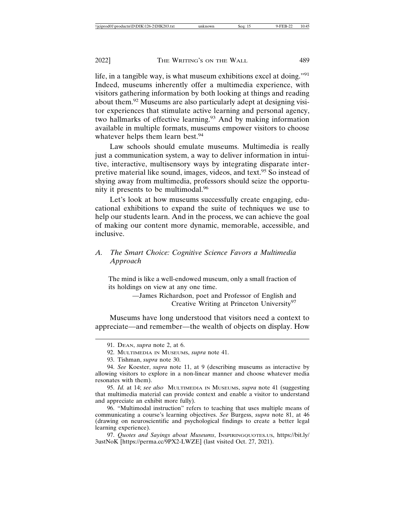life, in a tangible way, is what museum exhibitions excel at doing."<sup>91</sup> Indeed, museums inherently offer a multimedia experience, with visitors gathering information by both looking at things and reading about them.92 Museums are also particularly adept at designing visitor experiences that stimulate active learning and personal agency, two hallmarks of effective learning.<sup>93</sup> And by making information available in multiple formats, museums empower visitors to choose whatever helps them learn best.<sup>94</sup>

Law schools should emulate museums. Multimedia is really just a communication system, a way to deliver information in intuitive, interactive, multisensory ways by integrating disparate interpretive material like sound, images, videos, and text.<sup>95</sup> So instead of shying away from multimedia, professors should seize the opportunity it presents to be multimodal.<sup>96</sup>

Let's look at how museums successfully create engaging, educational exhibitions to expand the suite of techniques we use to help our students learn. And in the process, we can achieve the goal of making our content more dynamic, memorable, accessible, and inclusive.

#### *A. The Smart Choice: Cognitive Science Favors a Multimedia Approach*

The mind is like a well-endowed museum, only a small fraction of its holdings on view at any one time.

> —James Richardson, poet and Professor of English and Creative Writing at Princeton University<sup>97</sup>

Museums have long understood that visitors need a context to appreciate—and remember—the wealth of objects on display. How

92. MULTIMEDIA IN MUSEUMS, *supra* note 41.

95. *Id.* at 14; *see also* MULTIMEDIA IN MUSEUMS, *supra* note 41 (suggesting that multimedia material can provide context and enable a visitor to understand and appreciate an exhibit more fully).

96. "Multimodal instruction" refers to teaching that uses multiple means of communicating a course's learning objectives. *See* Burgess, *supra* note 81, at 46 (drawing on neuroscientific and psychological findings to create a better legal learning experience).

97. *Quotes and Sayings about Museums*, INSPIRINGQUOTES.US, https://bit.ly/ 3ustNoK [https://perma.cc/9PX2-LWZE] (last visited Oct. 27, 2021).

<sup>91.</sup> DEAN, *supra* note 2, at 6.

<sup>93.</sup> Tishman, *supra* note 30.

<sup>94.</sup> *See* Koester, *supra* note 11, at 9 (describing museums as interactive by allowing visitors to explore in a non-linear manner and choose whatever media resonates with them).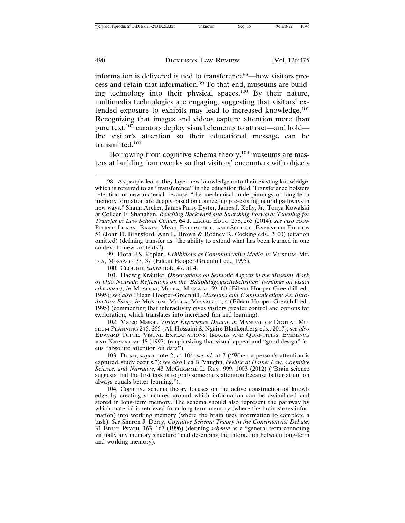information is delivered is tied to transference<sup>98</sup>—how visitors process and retain that information.99 To that end, museums are building technology into their physical spaces.100 By their nature, multimedia technologies are engaging, suggesting that visitors' extended exposure to exhibits may lead to increased knowledge.<sup>101</sup> Recognizing that images and videos capture attention more than pure text,<sup>102</sup> curators deploy visual elements to attract—and hold the visitor's attention so their educational message can be transmitted.<sup>103</sup>

Borrowing from cognitive schema theory,<sup>104</sup> museums are masters at building frameworks so that visitors' encounters with objects

99. Flora E.S. Kaplan, *Exhibitions as Communicative Media*, *in* MUSEUM, ME-DIA, MESSAGE 37, 37 (Eilean Hooper-Greenhill ed., 1995).

100. CLOUGH, *supra* note 47, at 4.

101. Hadwig Kräutler, *Observations on Semiotic Aspects in the Museum Work* of Otto Neurath: Reflections on the 'BildpädagogischeSchriften' (writings on visual *education)*, *in* MUSEUM, MEDIA, MESSAGE 59, 60 (Eilean Hooper-Greenhill ed., 1995); *see also* Eilean Hooper-Greenhill, *Museums and Communication: An Introductory Essay*, *in* MUSEUM, MEDIA, MESSAGE 1, 4 (Eilean Hooper-Greenhill ed., 1995) (commenting that interactivity gives visitors greater control and options for exploration, which translates into increased fun and learning).

102. Marco Mason, *Visitor Experience Design*, *in* MANUAL OF DIGITAL MU-SEUM PLANNING 245, 255 (Ali Hossaini & Ngaire Blankenberg eds., 2017); *see also* EDWARD TUFTE, VISUAL EXPLANATIONS: IMAGES AND QUANTITIES, EVIDENCE AND NARRATIVE 48 (1997) (emphasizing that visual appeal and "good design" focus "absolute attention on data").

103. DEAN, *supra* note 2, at 104; *see id.* at 7 ("When a person's attention is captured, study occurs."); *see also* Lea B. Vaughn, *Feeling at Home: Law, Cognitive Science, and Narrative*, 43 MCGEORGE L. REV. 999, 1003 (2012) ("Brain science suggests that the first task is to grab someone's attention because better attention always equals better learning.").

104. Cognitive schema theory focuses on the active construction of knowledge by creating structures around which information can be assimilated and stored in long-term memory. The schema should also represent the pathway by which material is retrieved from long-term memory (where the brain stores information) into working memory (where the brain uses information to complete a task). *See* Sharon J. Derry, *Cognitive Schema Theory in the Constructivist Debate*, 31 EDUC. PSYCH. 163, 167 (1996) (defining *schema* as a "general term connoting virtually any memory structure" and describing the interaction between long-term and working memory).

<sup>98.</sup> As people learn, they layer new knowledge onto their existing knowledge, which is referred to as "transference" in the education field. Transference bolsters retention of new material because "the mechanical underpinnings of long-term memory formation are deeply based on connecting pre-existing neural pathways in new ways." Shaun Archer, James Parry Eyster, James J. Kelly, Jr., Tonya Kowalski & Colleen F. Shanahan, *Reaching Backward and Stretching Forward: Teaching for Transfer in Law School Clinics,* 64 J. LEGAL EDUC. 258, 265 (2014); *see also* HOW PEOPLE LEARN: BRAIN, MIND, EXPERIENCE, AND SCHOOL: EXPANDED EDITION 51 (John D. Bransford, Ann L. Brown & Rodney R. Cocking eds., 2000) (citation omitted) (defining transfer as "the ability to extend what has been learned in one context to new contexts").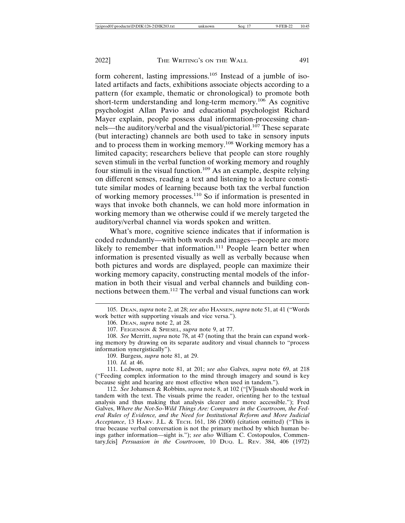form coherent, lasting impressions.105 Instead of a jumble of isolated artifacts and facts, exhibitions associate objects according to a pattern (for example, thematic or chronological) to promote both short-term understanding and long-term memory.<sup>106</sup> As cognitive psychologist Allan Pavio and educational psychologist Richard Mayer explain, people possess dual information-processing channels—the auditory/verbal and the visual/pictorial.<sup>107</sup> These separate (but interacting) channels are both used to take in sensory inputs and to process them in working memory.108 Working memory has a limited capacity; researchers believe that people can store roughly seven stimuli in the verbal function of working memory and roughly four stimuli in the visual function.109 As an example, despite relying on different senses, reading a text and listening to a lecture constitute similar modes of learning because both tax the verbal function of working memory processes.110 So if information is presented in ways that invoke both channels, we can hold more information in working memory than we otherwise could if we merely targeted the auditory/verbal channel via words spoken and written.

What's more, cognitive science indicates that if information is coded redundantly—with both words and images—people are more likely to remember that information.<sup>111</sup> People learn better when information is presented visually as well as verbally because when both pictures and words are displayed, people can maximize their working memory capacity, constructing mental models of the information in both their visual and verbal channels and building connections between them.112 The verbal and visual functions can work

110. *Id.* at 46.

111. Ledwon, *supra* note 81, at 201; *see also* Galves, *supra* note 69, at 218 ("Feeding complex information to the mind through imagery and sound is key because sight and hearing are most effective when used in tandem.").

112. *See* Johansen & Robbins, *supra* note 8, at 102 ("[V]isuals should work in tandem with the text. The visuals prime the reader, orienting her to the textual analysis and thus making that analysis clearer and more accessible."); Fred Galves, *Where the Not-So-Wild Things Are: Computers in the Courtroom, the Federal Rules of Evidence, and the Need for Institutional Reform and More Judicial Acceptance*, 13 HARV. J.L. & TECH. 161, 186 (2000) (citation omitted) ("This is true because verbal conversation is not the primary method by which human beings gather information—sight is."); *see also* William C. Costopoulos, Commentary,fcis] *Persuasion in the Courtroom*, 10 DUQ. L. REV. 384, 406 (1972)

<sup>105.</sup> DEAN, *supra* note 2, at 28; *see also* HANSEN, *supra* note 51, at 41 ("Words work better with supporting visuals and vice versa.").

<sup>106.</sup> DEAN, *supra* note 2, at 28.

<sup>107.</sup> FEIGENSON & SPIESEL, *supra* note 9, at 77.

<sup>108.</sup> *See* Merritt, *supra* note 78, at 47 (noting that the brain can expand working memory by drawing on its separate auditory and visual channels to "process information synergistically").

<sup>109.</sup> Burgess, *supra* note 81, at 29.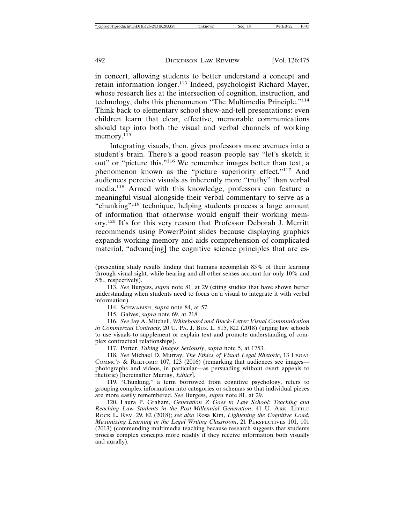in concert, allowing students to better understand a concept and retain information longer.113 Indeed, psychologist Richard Mayer, whose research lies at the intersection of cognition, instruction, and technology, dubs this phenomenon "The Multimedia Principle."<sup>114</sup> Think back to elementary school show-and-tell presentations: even children learn that clear, effective, memorable communications should tap into both the visual and verbal channels of working memory.<sup>115</sup>

Integrating visuals, then, gives professors more avenues into a student's brain. There's a good reason people say "let's sketch it out" or "picture this."116 We remember images better than text, a phenomenon known as the "picture superiority effect."<sup>117</sup> And audiences perceive visuals as inherently more "truthy" than verbal media.118 Armed with this knowledge, professors can feature a meaningful visual alongside their verbal commentary to serve as a "chunking"<sup>119</sup> technique, helping students process a large amount of information that otherwise would engulf their working memory.120 It's for this very reason that Professor Deborah J. Merritt recommends using PowerPoint slides because displaying graphics expands working memory and aids comprehension of complicated material, "advance ingl the cognitive science principles that are es-

114. SCHWABISH, *supra* note 84, at 57.

115. Galves, *supra* note 69, at 218.

116. *See* Jay A. Mitchell, *Whiteboard and Black-Letter: Visual Communication in Commercial Contracts*, 20 U. PA. J. BUS. L. 815, 822 (2018) (urging law schools to use visuals to supplement or explain text and promote understanding of complex contractual relationships).

117. Porter, *Taking Images Seriously*, *supra* note 5, at 1753.

118. *See* Michael D. Murray, *The Ethics of Visual Legal Rhetoric*, 13 LEGAL COMMC'N & RHETORIC 107, 123 (2016) (remarking that audiences see images photographs and videos, in particular—as persuading without overt appeals to rhetoric) [hereinafter Murray, *Ethics*].

119. "Chunking," a term borrowed from cognitive psychology, refers to grouping complex information into categories or schemas so that individual pieces are more easily remembered. *See* Burgess, *supra* note 81, at 29.

120. Laura P. Graham, *Generation Z Goes to Law School: Teaching and Reaching Law Students in the Post-Millennial Generation*, 41 U. ARK. LITTLE ROCK L. REV. 29, 82 (2018); *see also* Rosa Kim, *Lightening the Cognitive Load: Maximizing Learning in the Legal Writing Classroom*, 21 PERSPECTIVES 101, 101 (2013) (commending multimedia teaching because research suggests that students process complex concepts more readily if they receive information both visually and aurally).

<sup>(</sup>presenting study results finding that humans accomplish 85% of their learning through visual sight, while hearing and all other senses account for only 10% and 5%, respectively).

<sup>113.</sup> *See* Burgess, *supra* note 81, at 29 (citing studies that have shown better understanding when students need to focus on a visual to integrate it with verbal information).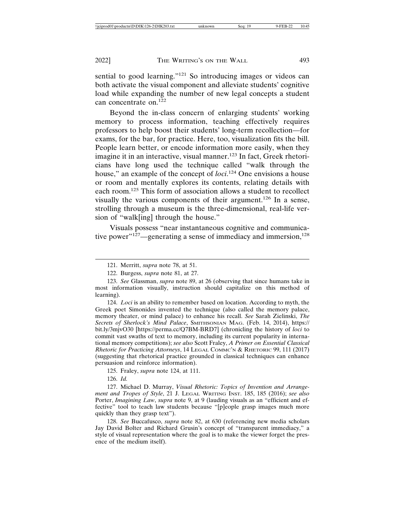sential to good learning."<sup>121</sup> So introducing images or videos can both activate the visual component and alleviate students' cognitive load while expanding the number of new legal concepts a student can concentrate on.<sup>122</sup>

Beyond the in-class concern of enlarging students' working memory to process information, teaching effectively requires professors to help boost their students' long-term recollection—for exams, for the bar, for practice. Here, too, visualization fits the bill. People learn better, or encode information more easily, when they imagine it in an interactive, visual manner.<sup>123</sup> In fact, Greek rhetoricians have long used the technique called "walk through the house," an example of the concept of *loci*. 124 One envisions a house or room and mentally explores its contents, relating details with each room.125 This form of association allows a student to recollect visually the various components of their argument.126 In a sense, strolling through a museum is the three-dimensional, real-life version of "walk[ing] through the house."

Visuals possess "near instantaneous cognitive and communicative power"<sup>127</sup>—generating a sense of immediacy and immersion,<sup>128</sup>

124. *Loci* is an ability to remember based on location. According to myth, the Greek poet Simonides invented the technique (also called the memory palace, memory theater, or mind palace) to enhance his recall. *See* Sarah Zielinski, *The Secrets of Sherlock's Mind Palace*, SMITHSONIAN MAG. (Feb. 14, 2014), https:// bit.ly/3mjvO30 [https://perma.cc/Q7BM-BRD7] (chronicling the history of *loci* to commit vast swaths of text to memory, including its current popularity in international memory competitions); *see also* Scott Fraley, *A Primer on Essential Classical Rhetoric for Practicing Attorneys*, 14 LEGAL COMMC'N & RHETORIC 99, 111 (2017) (suggesting that rhetorical practice grounded in classical techniques can enhance persuasion and reinforce information).

125. Fraley, *supra* note 124, at 111.

126. *Id.*

127. Michael D. Murray, *Visual Rhetoric: Topics of Invention and Arrangement and Tropes of Style*, 21 J. LEGAL WRITING INST. 185, 185 (2016); *see also* Porter, *Imagining Law*, *supra* note 9, at 9 (lauding visuals as an "efficient and effective" tool to teach law students because "[p]eople grasp images much more quickly than they grasp text").

128. *See* Buccafusco, *supra* note 82, at 630 (referencing new media scholars Jay David Bolter and Richard Grusin's concept of "transparent immediacy," a style of visual representation where the goal is to make the viewer forget the presence of the medium itself).

<sup>121.</sup> Merritt, *supra* note 78, at 51.

<sup>122.</sup> Burgess, *supra* note 81, at 27.

<sup>123.</sup> *See* Glassman, *supra* note 89, at 26 (observing that since humans take in most information visually, instruction should capitalize on this method of learning).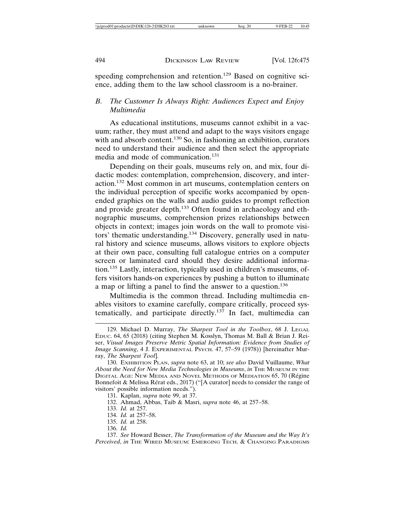speeding comprehension and retention.129 Based on cognitive science, adding them to the law school classroom is a no-brainer.

#### *B. The Customer Is Always Right: Audiences Expect and Enjoy Multimedia*

As educational institutions, museums cannot exhibit in a vacuum; rather, they must attend and adapt to the ways visitors engage with and absorb content.<sup>130</sup> So, in fashioning an exhibition, curators need to understand their audience and then select the appropriate media and mode of communication.<sup>131</sup>

Depending on their goals, museums rely on, and mix, four didactic modes: contemplation, comprehension, discovery, and interaction.132 Most common in art museums, contemplation centers on the individual perception of specific works accompanied by openended graphics on the walls and audio guides to prompt reflection and provide greater depth.133 Often found in archaeology and ethnographic museums, comprehension prizes relationships between objects in context; images join words on the wall to promote visitors' thematic understanding.134 Discovery, generally used in natural history and science museums, allows visitors to explore objects at their own pace, consulting full catalogue entries on a computer screen or laminated card should they desire additional information.135 Lastly, interaction, typically used in children's museums, offers visitors hands-on experiences by pushing a button to illuminate a map or lifting a panel to find the answer to a question.<sup>136</sup>

Multimedia is the common thread. Including multimedia enables visitors to examine carefully, compare critically, proceed systematically, and participate directly.<sup>137</sup> In fact, multimedia can

- 132. Ahmad, Abbas, Taib & Masri, *supra* note 46, at 257–58.
- 133. *Id.* at 257.
- 134. *Id.* at 257–58.
- 135. *Id.* at 258.

136. *Id.*

137. *See* Howard Besser, *The Transformation of the Museum and the Way It's Perceived*, *in* THE WIRED MUSEUM: EMERGING TECH. & CHANGING PARADIGMS

<sup>129.</sup> Michael D. Murray, *The Sharpest Tool in the Toolbox*, 68 J. LEGAL EDUC. 64, 65 (2018) (citing Stephen M. Kosslyn, Thomas M. Ball & Brian J. Reiser, *Visual Images Preserve Metric Spatial Information: Evidence from Studies of Image Scanning*, 4 J. EXPERIMENTAL PSYCH. 47, 57–59 (1978)) [hereinafter Murray, *The Sharpest Tool*].

<sup>130.</sup> EXHIBITION PLAN, *supra* note 63, at 10; *see also* David Vuillaume, *What About the Need for New Media Technologies in Museums*, *in* THE MUSEUM IN THE DIGITAL AGE: NEW MEDIA AND NOVEL METHODS OF MEDIATION 65, 70 (Régine Bonnefoit & Melissa Rérat eds., 2017) ("[A curator] needs to consider the range of visitors' possible information needs.").

<sup>131.</sup> Kaplan, *supra* note 99, at 37.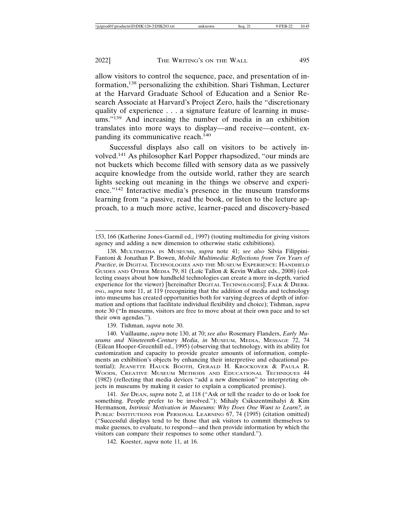allow visitors to control the sequence, pace, and presentation of information,138 personalizing the exhibition. Shari Tishman, Lecturer at the Harvard Graduate School of Education and a Senior Research Associate at Harvard's Project Zero, hails the "discretionary quality of experience . . . a signature feature of learning in museums."<sup>139</sup> And increasing the number of media in an exhibition translates into more ways to display—and receive—content, expanding its communicative reach.<sup>140</sup>

Successful displays also call on visitors to be actively involved.141 As philosopher Karl Popper rhapsodized, "our minds are not buckets which become filled with sensory data as we passively acquire knowledge from the outside world, rather they are search lights seeking out meaning in the things we observe and experience."142 Interactive media's presence in the museum transforms learning from "a passive, read the book, or listen to the lecture approach, to a much more active, learner-paced and discovery-based

139. Tishman, *supra* note 30.

140. Vuillaume, *supra* note 130, at 70; *see also* Rosemary Flanders, *Early Museums and Nineteenth-Century Media*, *in* MUSEUM, MEDIA, MESSAGE 72, 74 (Eilean Hooper-Greenhill ed., 1995) (observing that technology, with its ability for customization and capacity to provide greater amounts of information, complements an exhibition's objects by enhancing their interpretive and educational potential); JEANETTE HAUCK BOOTH, GERALD H. KROCKOVER & PAULA R. WOODS, CREATIVE MUSEUM METHODS AND EDUCATIONAL TECHNIQUES 44 (1982) (reflecting that media devices "add a new dimension" to interpreting objects in museums by making it easier to explain a complicated premise).

141. *See* DEAN, *supra* note 2, at 118 ("Ask or tell the reader to do or look for something. People prefer to be involved."); Mihaly Csikszentmihalyi & Kim Hermanson, *Intrinsic Motivation in Museums: Why Does One Want to Learn?, in* PUBLIC INSTITUTIONS FOR PERSONAL LEARNING 67, 74 (1995) (citation omitted) ("Successful displays tend to be those that ask visitors to commit themselves to make guesses, to evaluate, to respond—and then provide information by which the visitors can compare their responses to some other standard.").

142. Koester, *supra* note 11, at 16.

<sup>153, 166 (</sup>Katherine Jones-Garmil ed., 1997) (touting multimedia for giving visitors agency and adding a new dimension to otherwise static exhibitions).

<sup>138.</sup> MULTIMEDIA IN MUSEUMS, *supra* note 41; *see also* Silvia Filippini-Fantoni & Jonathan P. Bowen, *Mobile Multimedia: Reflections from Ten Years of Practice*, *in* DIGITAL TECHNOLOGIES AND THE MUSEUM EXPERIENCE: HANDHELD GUIDES AND OTHER MEDIA 79, 81 (Loïc Tallon & Kevin Walker eds., 2008) (collecting essays about how handheld technologies can create a more in-depth, varied experience for the viewer) [hereinafter DIGITAL TECHNOLOGIES]; FALK & DIERK-ING, *supra* note 11, at 119 (recognizing that the addition of media and technology into museums has created opportunities both for varying degrees of depth of information and options that facilitate individual flexibility and choice); Tishman, *supra* note 30 ("In museums, visitors are free to move about at their own pace and to set their own agendas.").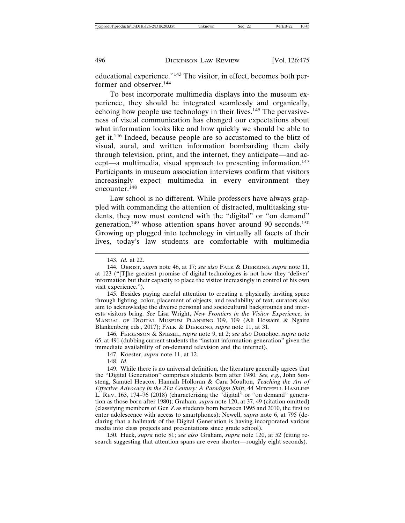educational experience."143 The visitor, in effect, becomes both performer and observer.<sup>144</sup>

To best incorporate multimedia displays into the museum experience, they should be integrated seamlessly and organically, echoing how people use technology in their lives.<sup>145</sup> The pervasiveness of visual communication has changed our expectations about what information looks like and how quickly we should be able to get it.146 Indeed, because people are so accustomed to the blitz of visual, aural, and written information bombarding them daily through television, print, and the internet, they anticipate—and accept—a multimedia, visual approach to presenting information.<sup>147</sup> Participants in museum association interviews confirm that visitors increasingly expect multimedia in every environment they encounter.<sup>148</sup>

Law school is no different. While professors have always grappled with commanding the attention of distracted, multitasking students, they now must contend with the "digital" or "on demand" generation,<sup>149</sup> whose attention spans hover around 90 seconds.<sup>150</sup> Growing up plugged into technology in virtually all facets of their lives, today's law students are comfortable with multimedia

145. Besides paying careful attention to creating a physically inviting space through lighting, color, placement of objects, and readability of text, curators also aim to acknowledge the diverse personal and sociocultural backgrounds and interests visitors bring. *See* Lisa Wright, *New Frontiers in the Visitor Experience*, *in* MANUAL OF DIGITAL MUSEUM PLANNING 109, 109 (Ali Hossaini & Ngaire Blankenberg eds., 2017); FALK & DIERKING, *supra* note 11, at 31.

146. FEIGENSON & SPIESEL, *supra* note 9, at 2; *see also* Donohoe, *supra* note 65, at 491 (dubbing current students the "instant information generation" given the immediate availability of on-demand television and the internet).

147. Koester, *supra* note 11, at 12.

148. *Id.*

149. While there is no universal definition, the literature generally agrees that the "Digital Generation" comprises students born after 1980. *See, e.g.*, John Sonsteng, Samuel Heacox, Hannah Holloran & Cara Moulton, *Teaching the Art of Effective Advocacy in the 21st Century: A Paradigm Shift*, 44 MITCHELL HAMLINE L. REV. 163, 174–76 (2018) (characterizing the "digital" or "on demand" generation as those born after 1980); Graham, *supra* note 120, at 37, 49 (citation omitted) (classifying members of Gen Z as students born between 1995 and 2010, the first to enter adolescence with access to smartphones); Newell, *supra* note 6, at 795 (declaring that a hallmark of the Digital Generation is having incorporated various media into class projects and presentations since grade school).

150. Huck, *supra* note 81; *see also* Graham, *supra* note 120, at 52 (citing research suggesting that attention spans are even shorter—roughly eight seconds).

<sup>143.</sup> *Id.* at 22.

<sup>144.</sup> OBRIST, *supra* note 46, at 17; *see also* FALK & DIERKING, *supra* note 11, at 123 ("[T]he greatest promise of digital technologies is not how they 'deliver' information but their capacity to place the visitor increasingly in control of his own visit experience.").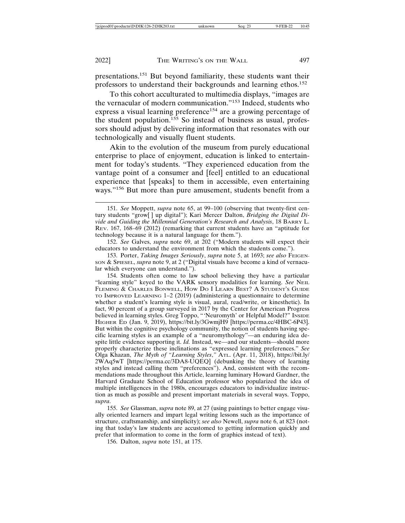presentations.151 But beyond familiarity, these students want their professors to understand their backgrounds and learning ethos.<sup>152</sup>

To this cohort acculturated to multimedia displays, "images are the vernacular of modern communication."153 Indeed, students who express a visual learning preference<sup>154</sup> are a growing percentage of the student population.<sup>155</sup> So instead of business as usual, professors should adjust by delivering information that resonates with our technologically and visually fluent students.

Akin to the evolution of the museum from purely educational enterprise to place of enjoyment, education is linked to entertainment for today's students. "They experienced education from the vantage point of a consumer and [feel] entitled to an educational experience that [speaks] to them in accessible, even entertaining ways."156 But more than pure amusement, students benefit from a

152. *See* Galves, *supra* note 69, at 202 ("Modern students will expect their educators to understand the environment from which the students come.").

153. Porter, *Taking Images Seriously*, *supra* note 5, at 1693; *see also* FEIGEN-SON & SPIESEL, *supra* note 9, at 2 ("Digital visuals have become a kind of vernacular which everyone can understand.").

154. Students often come to law school believing they have a particular "learning style" keyed to the VARK sensory modalities for learning. *See* NEIL FLEMING & CHARLES BONWELL, HOW DO I LEARN BEST? A STUDENT'S GUIDE TO IMPROVED LEARNING 1–2 (2019) (administering a questionnaire to determine whether a student's learning style is visual, aural, read/write, or kinesthetic). In fact, 90 percent of a group surveyed in 2017 by the Center for American Progress believed in learning styles. Greg Toppo, "'Neuromyth' or Helpful Model?" INSIDE HIGHER ED (Jan. 9, 2019), https://bit.ly/3GwmjH9 [https://perma.cc/4HBC-6P43]. But within the cognitive psychology community, the notion of students having specific learning styles is an example of a "neuromythology"—an enduring idea despite little evidence supporting it. *Id.* Instead, we—and our students—should more properly characterize these inclinations as "expressed learning preferences." *See* Olga Khazan, *The Myth of "Learning Styles*,*"* ATL. (Apr. 11, 2018), https://bit.ly/ 2WAq5wT [https://perma.cc/3DA8-UQEQ] (debunking the theory of learning styles and instead calling them "preferences"). And, consistent with the recommendations made throughout this Article, learning luminary Howard Gardner, the Harvard Graduate School of Education professor who popularized the idea of multiple intelligences in the 1980s, encourages educators to individualize instruction as much as possible and present important materials in several ways. Toppo, *supra*.

155. *See* Glassman, *supra* note 89, at 27 (using paintings to better engage visually oriented learners and impart legal writing lessons such as the importance of structure, craftsmanship, and simplicity); *see also* Newell, *supra* note 6, at 823 (noting that today's law students are accustomed to getting information quickly and prefer that information to come in the form of graphics instead of text).

156. Dalton, *supra* note 151, at 175.

<sup>151.</sup> *See* Moppett, *supra* note 65, at 99–100 (observing that twenty-first century students "grow[ ] up digital"); Kari Mercer Dalton, *Bridging the Digital Divide and Guiding the Millennial Generation's Research and Analysis*, 18 BARRY L. REV. 167, 168–69 (2012) (remarking that current students have an "aptitude for technology because it is a natural language for them.").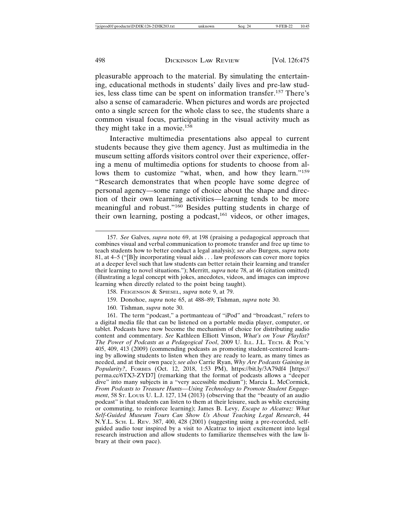pleasurable approach to the material. By simulating the entertaining, educational methods in students' daily lives and pre-law studies, less class time can be spent on information transfer.157 There's also a sense of camaraderie. When pictures and words are projected onto a single screen for the whole class to see, the students share a common visual focus, participating in the visual activity much as they might take in a movie.<sup>158</sup>

Interactive multimedia presentations also appeal to current students because they give them agency. Just as multimedia in the museum setting affords visitors control over their experience, offering a menu of multimedia options for students to choose from allows them to customize "what, when, and how they learn."<sup>159</sup> "Research demonstrates that when people have some degree of personal agency—some range of choice about the shape and direction of their own learning activities—learning tends to be more meaningful and robust."160 Besides putting students in charge of their own learning, posting a podcast,<sup>161</sup> videos, or other images,

160. Tishman, *supra* note 30.

161. The term "podcast," a portmanteau of "iPod" and "broadcast," refers to a digital media file that can be listened on a portable media player, computer, or tablet. Podcasts have now become the mechanism of choice for distributing audio content and commentary. *See* Kathleen Elliott Vinson, *What's on Your Playlist? The Power of Podcasts as a Pedagogical Tool*, 2009 U. ILL. J.L. TECH. & POL'Y 405, 409, 413 (2009) (commending podcasts as promoting student-centered learning by allowing students to listen when they are ready to learn, as many times as needed, and at their own pace); *see also* Carrie Ryan, *Why Are Podcasts Gaining in Popularity?*, FORBES (Oct. 12, 2018, 1:53 PM), https://bit.ly/3A79df4 [https:// perma.cc/6TX3-ZYD7] (remarking that the format of podcasts allows a "deeper dive" into many subjects in a "very accessible medium"); Marcia L. McCormick, *From Podcasts to Treasure Hunts—Using Technology to Promote Student Engagement*, 58 ST. LOUIS U. L.J. 127, 134 (2013) (observing that the "beauty of an audio podcast" is that students can listen to them at their leisure, such as while exercising or commuting, to reinforce learning); James B. Levy, *Escape to Alcatraz: What Self-Guided Museum Tours Can Show Us About Teaching Legal Research*, 44 N.Y.L. SCH. L. REV. 387, 400, 428 (2001) (suggesting using a pre-recorded, selfguided audio tour inspired by a visit to Alcatraz to inject excitement into legal research instruction and allow students to familiarize themselves with the law library at their own pace).

<sup>157.</sup> *See* Galves, *supra* note 69, at 198 (praising a pedagogical approach that combines visual and verbal communication to promote transfer and free up time to teach students how to better conduct a legal analysis); *see also* Burgess, *supra* note 81, at 4–5 ("[B]y incorporating visual aids . . . law professors can cover more topics at a deeper level such that law students can better retain their learning and transfer their learning to novel situations."); Merritt, *supra* note 78, at 46 (citation omitted) (illustrating a legal concept with jokes, anecdotes, videos, and images can improve learning when directly related to the point being taught).

<sup>158.</sup> FEIGENSON & SPIESEL, *supra* note 9, at 79.

<sup>159.</sup> Donohoe, *supra* note 65, at 488–89; Tishman, *supra* note 30.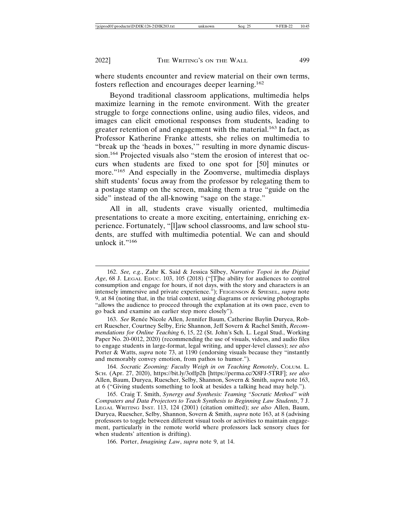where students encounter and review material on their own terms, fosters reflection and encourages deeper learning.<sup>162</sup>

Beyond traditional classroom applications, multimedia helps maximize learning in the remote environment. With the greater struggle to forge connections online, using audio files, videos, and images can elicit emotional responses from students, leading to greater retention of and engagement with the material.<sup>163</sup> In fact, as Professor Katherine Franke attests, she relies on multimedia to "break up the 'heads in boxes,'" resulting in more dynamic discussion.164 Projected visuals also "stem the erosion of interest that occurs when students are fixed to one spot for [50] minutes or more."<sup>165</sup> And especially in the Zoomverse, multimedia displays shift students' focus away from the professor by relegating them to a postage stamp on the screen, making them a true "guide on the side" instead of the all-knowing "sage on the stage."

All in all, students crave visually oriented, multimedia presentations to create a more exciting, entertaining, enriching experience. Fortunately, "[l]aw school classrooms, and law school students, are stuffed with multimedia potential. We can and should unlock it."<sup>166</sup>

163. See Renée Nicole Allen, Jennifer Baum, Catherine Baylin Duryea, Robert Ruescher, Courtney Selby, Eric Shannon, Jeff Sovern & Rachel Smith, *Recommendations for Online Teaching* 6, 15, 22 (St. John's Sch. L. Legal Stud., Working Paper No. 20-0012, 2020) (recommending the use of visuals, videos, and audio files to engage students in large-format, legal writing, and upper-level classes); *see also* Porter & Watts, *supra* note 73, at 1190 (endorsing visuals because they "instantly" and memorably convey emotion, from pathos to humor.").

164. *Socratic Zooming: Faculty Weigh in on Teaching Remotely*, COLUM. L. SCH. (Apr. 27, 2020), https://bit.ly/3offp2h [https://perma.cc/X8FJ-5TRF]; *see also* Allen, Baum, Duryea, Ruescher, Selby, Shannon, Sovern & Smith, *supra* note 163, at 6 ("Giving students something to look at besides a talking head may help.").

165. Craig T. Smith, *Synergy and Synthesis: Teaming "Socratic Method" with Computers and Data Projectors to Teach Synthesis to Beginning Law Students*, 7 J. LEGAL WRITING INST. 113, 124 (2001) (citation omitted); *see also* Allen, Baum, Duryea, Ruescher, Selby, Shannon, Sovern & Smith, *supra* note 163, at 8 (advising professors to toggle between different visual tools or activities to maintain engagement, particularly in the remote world where professors lack sensory clues for when students' attention is drifting).

166. Porter, *Imagining Law*, *supra* note 9, at 14.

<sup>162.</sup> *See, e.g.*, Zahr K. Said & Jessica Silbey, *Narrative Topoi in the Digital Age*, 68 J. LEGAL EDUC. 103, 105 (2018) ("[T]he ability for audiences to control consumption and engage for hours, if not days, with the story and characters is an intensely immersive and private experience."); FEIGENSON & SPIESEL, *supra* note 9, at 84 (noting that, in the trial context, using diagrams or reviewing photographs "allows the audience to proceed through the explanation at its own pace, even to go back and examine an earlier step more closely").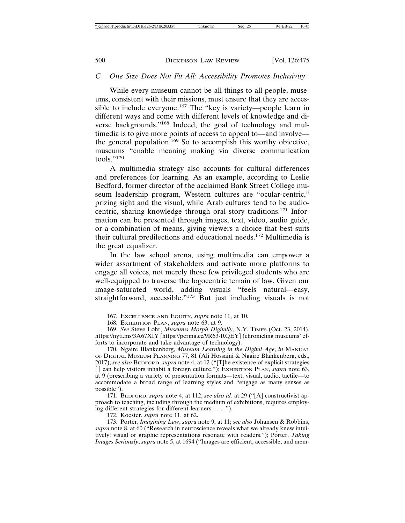#### *C. One Size Does Not Fit All: Accessibility Promotes Inclusivity*

While every museum cannot be all things to all people, museums, consistent with their missions, must ensure that they are accessible to include everyone.167 The "key is variety—people learn in different ways and come with different levels of knowledge and diverse backgrounds."168 Indeed, the goal of technology and multimedia is to give more points of access to appeal to—and involve the general population.169 So to accomplish this worthy objective, museums "enable meaning making via diverse communication tools." $170$ 

A multimedia strategy also accounts for cultural differences and preferences for learning. As an example, according to Leslie Bedford, former director of the acclaimed Bank Street College museum leadership program, Western cultures are "ocular-centric," prizing sight and the visual, while Arab cultures tend to be audiocentric, sharing knowledge through oral story traditions.171 Information can be presented through images, text, video, audio guide, or a combination of means, giving viewers a choice that best suits their cultural predilections and educational needs.172 Multimedia is the great equalizer.

In the law school arena, using multimedia can empower a wider assortment of stakeholders and activate more platforms to engage all voices, not merely those few privileged students who are well-equipped to traverse the logocentric terrain of law. Given our image-saturated world, adding visuals "feels natural—easy, straightforward, accessible."<sup>173</sup> But just including visuals is not

171. BEDFORD, *supra* note 4, at 112; *see also id.* at 29 ("[A] constructivist approach to teaching, including through the medium of exhibitions, requires employing different strategies for different learners . . . .").

172. Koester, *supra* note 11, at 62.

173. Porter, *Imagining Law*, *supra* note 9, at 11; *see also* Johansen & Robbins, *supra* note 8, at 60 ("Research in neuroscience reveals what we already knew intuitively: visual or graphic representations resonate with readers."); Porter, *Taking Images Seriously*, *supra* note 5, at 1694 ("Images are efficient, accessible, and mem-

<sup>167.</sup> EXCELLENCE AND EQUITY, *supra* note 11, at 10.

<sup>168.</sup> EXHIBITION PLAN, *supra* note 63, at 9.

<sup>169.</sup> *See* Steve Lohr, *Museums Morph Digitally*, N.Y. TIMES (Oct. 23, 2014), https://nyti.ms/3A67XIY [https://perma.cc/9R63-RQEY] (chronicling museums' efforts to incorporate and take advantage of technology).

<sup>170.</sup> Ngaire Blankenberg, *Museum Learning in the Digital Age*, *in* MANUAL OF DIGITAL MUSEUM PLANNING 77, 81 (Ali Hossaini & Ngaire Blankenberg, eds., 2017); *see also* BEDFORD, *supra* note 4, at 12 ("[T]he existence of explicit strategies [ ] can help visitors inhabit a foreign culture."); EXHIBITION PLAN, *supra* note 63, at 9 (prescribing a variety of presentation formats—text, visual, audio, tactile—to accommodate a broad range of learning styles and "engage as many senses as possible").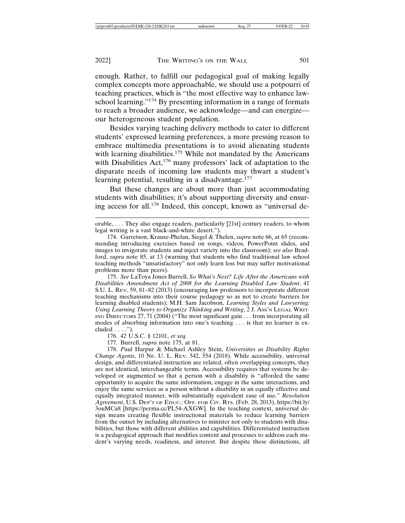enough. Rather, to fulfill our pedagogical goal of making legally complex concepts more approachable, we should use a potpourri of teaching practices, which is "the most effective way to enhance lawschool learning." $174$  By presenting information in a range of formats to reach a broader audience, we acknowledge—and can energize our heterogeneous student population.

Besides varying teaching delivery methods to cater to different students' expressed learning preferences, a more pressing reason to embrace multimedia presentations is to avoid alienating students with learning disabilities.<sup>175</sup> While not mandated by the Americans with Disabilities Act,<sup>176</sup> many professors' lack of adaptation to the disparate needs of incoming law students may thwart a student's learning potential, resulting in a disadvantage.<sup>177</sup>

But these changes are about more than just accommodating students with disabilities; it's about supporting diversity and ensuring access for all.178 Indeed, this concept, known as "universal de-

175. *See* LaToya Jones Burrell, *So What's Next? Life After the Americans with Disabilities Amendment Act of 2008 for the Learning Disabled Law Student*, 41 S.U. L. REV. 59, 81–82 (2013) (encouraging law professors to incorporate different teaching mechanisms into their course pedagogy so as not to create barriers for learning disabled students); M.H. Sam Jacobson, *Learning Styles and Lawyering: Using Learning Theory to Organize Thinking and Writing*, 2 J. Ass'n LEGAL WRIT-ING DIRECTORS 27, 71 (2004) ("The most significant gain . . . from incorporating all modes of absorbing information into one's teaching . . . is that no learner is ex $cluded \ldots$ ").

176. 42 U.S.C. § 12101, *et seq.*

177. Burrell, *supra* note 175, at 81.

178. *P*aul Harpur & Michael Ashley Stein, *Universities as Disability Rights Change Agents*, 10 NE. U. L. REV. 542, 554 (2018). While accessibility, universal design, and differentiated instruction are related, often overlapping concepts, they are not identical, interchangeable terms. Accessibility requires that systems be developed or augmented so that a person with a disability is "afforded the same opportunity to acquire the same information, engage in the same interactions, and enjoy the same services as a person without a disability in an equally effective and equally integrated manner, with substantially equivalent ease of use." *Resolution Agreement*, U.S. DEP'T OF EDUC.: OFF. FOR CIV. RTS. (Feb. 28, 2013), https://bit.ly/ 3ouMCa8 [https://perma.cc/PL54-AXGW]. In the teaching context, universal design means creating flexible instructional materials to reduce learning barriers from the outset by including alternatives to minister not only to students with disabilities, but those with different abilities and capabilities. Differentiated instruction is a pedagogical approach that modifies content and processes to address each student's varying needs, readiness, and interest. But despite these distinctions, all

orable, . . . They also engage readers, particularly [21st] century readers, to whom legal writing is a vast black-and-white desert.").

<sup>174.</sup> Garretson, Krause-Phelan, Siegel & Thelen, *supra* note 66, at 65 (recommending introducing exercises based on songs, videos, PowerPoint slides, and images to invigorate students and inject variety into the classroom); *see also* Bradford, *supra* note 85, at 13 (warning that students who find traditional law school teaching methods "unsatisfactory" not only learn less but may suffer motivational problems more than peers).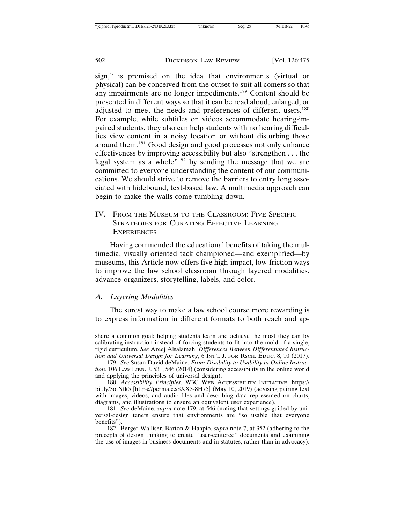sign," is premised on the idea that environments (virtual or physical) can be conceived from the outset to suit all comers so that any impairments are no longer impediments.179 Content should be presented in different ways so that it can be read aloud, enlarged, or adjusted to meet the needs and preferences of different users.<sup>180</sup> For example, while subtitles on videos accommodate hearing-impaired students, they also can help students with no hearing difficulties view content in a noisy location or without disturbing those around them.181 Good design and good processes not only enhance effectiveness by improving accessibility but also "strengthen . . . the legal system as a whole"<sup>182</sup> by sending the message that we are committed to everyone understanding the content of our communications. We should strive to remove the barriers to entry long associated with hidebound, text-based law. A multimedia approach can begin to make the walls come tumbling down.

IV. FROM THE MUSEUM TO THE CLASSROOM: FIVE SPECIFIC STRATEGIES FOR CURATING EFFECTIVE LEARNING **EXPERIENCES** 

Having commended the educational benefits of taking the multimedia, visually oriented tack championed—and exemplified—by museums, this Article now offers five high-impact, low-friction ways to improve the law school classroom through layered modalities, advance organizers, storytelling, labels, and color.

#### *A. Layering Modalities*

The surest way to make a law school course more rewarding is to express information in different formats to both reach and ap-

share a common goal: helping students learn and achieve the most they can by calibrating instruction instead of forcing students to fit into the mold of a single, rigid curriculum. *See* Areej Alsalamah, *Differences Between Differentiated Instruction and Universal Design for Learning*, 6 INT'L J. FOR RSCH. EDUC. 8, 10 (2017).

<sup>179.</sup> *See* Susan David deMaine, *From Disability to Usability in Online Instruction*, 106 LAW LIBR. J. 531, 546 (2014) (considering accessibility in the online world and applying the principles of universal design).

<sup>180.</sup> *Accessibility Principles*, W3C WEB ACCESSIBILITY INITIATIVE, https:// bit.ly/3otNfk5 [https://perma.cc/8XX3-8H75] (May 10, 2019) (advising pairing text with images, videos, and audio files and describing data represented on charts, diagrams, and illustrations to ensure an equivalent user experience).

<sup>181.</sup> *See* deMaine, *supra* note 179, at 546 (noting that settings guided by universal-design tenets ensure that environments are "so usable that everyone benefits").

<sup>182.</sup> Berger-Walliser, Barton & Haapio, *supra* note 7, at 352 (adhering to the precepts of design thinking to create "user-centered" documents and examining the use of images in business documents and in statutes, rather than in advocacy).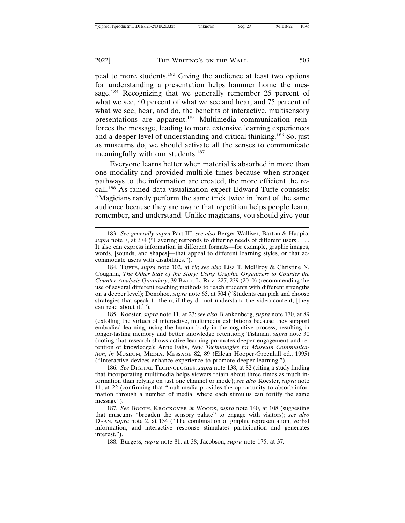peal to more students.183 Giving the audience at least two options for understanding a presentation helps hammer home the message.<sup>184</sup> Recognizing that we generally remember 25 percent of what we see, 40 percent of what we see and hear, and 75 percent of what we see, hear, and do, the benefits of interactive, multisensory presentations are apparent.185 Multimedia communication reinforces the message, leading to more extensive learning experiences and a deeper level of understanding and critical thinking.186 So, just as museums do, we should activate all the senses to communicate meaningfully with our students.<sup>187</sup>

Everyone learns better when material is absorbed in more than one modality and provided multiple times because when stronger pathways to the information are created, the more efficient the recall.188 As famed data visualization expert Edward Tufte counsels: "Magicians rarely perform the same trick twice in front of the same audience because they are aware that repetition helps people learn, remember, and understand. Unlike magicians, you should give your

184. TUFTE, *supra* note 102, at 69; *see also* Lisa T. McElroy & Christine N. Coughlin, *The Other Side of the Story: Using Graphic Organizers to Counter the Counter-Analysis Quandary*, 39 BALT. L. REV. 227, 239 (2010) (recommending the use of several different teaching methods to reach students with different strengths on a deeper level); Donohoe, *supra* note 65, at 504 ("Students can pick and choose strategies that speak to them; if they do not understand the video content, [they can read about it.]").

185. Koester, *supra* note 11, at 23; *see also* Blankenberg, *supra* note 170, at 89 (extolling the virtues of interactive, multimedia exhibitions because they support embodied learning, using the human body in the cognitive process, resulting in longer-lasting memory and better knowledge retention); Tishman, *supra* note 30 (noting that research shows active learning promotes deeper engagement and retention of knowledge); Anne Fahy, *New Technologies for Museum Communication*, *in* MUSEUM, MEDIA, MESSAGE 82, 89 (Eilean Hooper-Greenhill ed., 1995) ("Interactive devices enhance experience to promote deeper learning.").

186. *See* DIGITAL TECHNOLOGIES, *supra* note 138, at 82 (citing a study finding that incorporating multimedia helps viewers retain about three times as much information than relying on just one channel or mode); *see also* Koester, *supra* note 11, at 22 (confirming that "multimedia provides the opportunity to absorb information through a number of media, where each stimulus can fortify the same message").

187. See BOOTH, KROCKOVER & WOODS, *supra* note 140, at 108 (suggesting that museums "broaden the sensory palate" to engage with visitors); *see also* DEAN, *supra* note 2, at 134 ("The combination of graphic representation, verbal information, and interactive response stimulates participation and generates interest.").

188. Burgess, *supra* note 81, at 38; Jacobson, *supra* note 175, at 37.

<sup>183.</sup> *See generally supra* Part III; *see also* Berger-Walliser, Barton & Haapio, *supra* note 7, at 374 ("Layering responds to differing needs of different users . . . . It also can express information in different formats—for example, graphic images, words, [sounds, and shapes]—that appeal to different learning styles, or that accommodate users with disabilities.").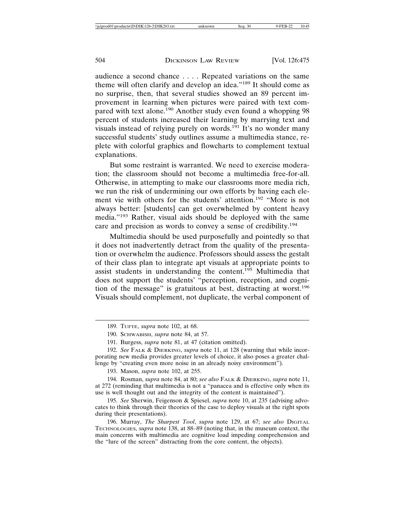audience a second chance . . . . Repeated variations on the same theme will often clarify and develop an idea."189 It should come as no surprise, then, that several studies showed an 89 percent improvement in learning when pictures were paired with text compared with text alone.<sup>190</sup> Another study even found a whopping 98 percent of students increased their learning by marrying text and visuals instead of relying purely on words.191 It's no wonder many successful students' study outlines assume a multimedia stance, replete with colorful graphics and flowcharts to complement textual explanations.

But some restraint is warranted. We need to exercise moderation; the classroom should not become a multimedia free-for-all. Otherwise, in attempting to make our classrooms more media rich, we run the risk of undermining our own efforts by having each element vie with others for the students' attention.192 "More is not always better: [students] can get overwhelmed by content heavy media."193 Rather, visual aids should be deployed with the same care and precision as words to convey a sense of credibility.<sup>194</sup>

Multimedia should be used purposefully and pointedly so that it does not inadvertently detract from the quality of the presentation or overwhelm the audience. Professors should assess the gestalt of their class plan to integrate apt visuals at appropriate points to assist students in understanding the content.<sup>195</sup> Multimedia that does not support the students' "perception, reception, and cognition of the message" is gratuitous at best, distracting at worst.<sup>196</sup> Visuals should complement, not duplicate, the verbal component of

<sup>189.</sup> TUFTE, *supra* note 102, at 68.

<sup>190.</sup> SCHWABISH, *supra* note 84, at 57.

<sup>191.</sup> Burgess, *supra* note 81, at 47 (citation omitted).

<sup>192.</sup> *See* FALK & DIERKING, *supra* note 11, at 128 (warning that while incorporating new media provides greater levels of choice, it also poses a greater challenge by "creating even more noise in an already noisy environment").

<sup>193.</sup> Mason, *supra* note 102, at 255.

<sup>194.</sup> Rosman, *supra* note 84, at 80; *see also* FALK & DIERKING, *supra* note 11, at 272 (reminding that multimedia is not a "panacea and is effective only when its use is well thought out and the integrity of the content is maintained").

<sup>195.</sup> *See* Sherwin, Feigenson & Spiesel, *supra* note 10, at 235 (advising advocates to think through their theories of the case to deploy visuals at the right spots during their presentations).

<sup>196.</sup> Murray, *The Sharpest Tool*, *supra* note 129, at 67; *see also* DIGITAL TECHNOLOGIES, *supra* note 138, at 88–89 (noting that, in the museum context, the main concerns with multimedia are cognitive load impeding comprehension and the "lure of the screen" distracting from the core content, the objects).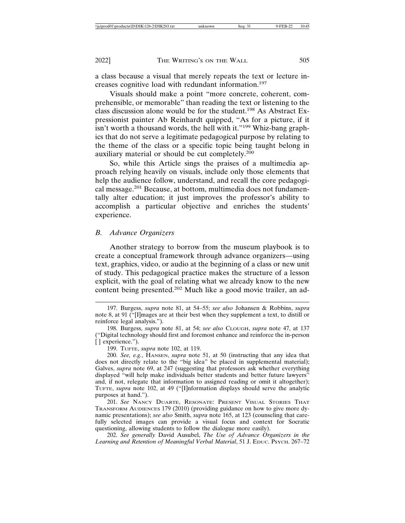a class because a visual that merely repeats the text or lecture increases cognitive load with redundant information.<sup>197</sup>

Visuals should make a point "more concrete, coherent, comprehensible, or memorable" than reading the text or listening to the class discussion alone would be for the student.<sup>198</sup> As Abstract Expressionist painter Ab Reinhardt quipped, "As for a picture, if it isn't worth a thousand words, the hell with it."<sup>199</sup> Whiz-bang graphics that do not serve a legitimate pedagogical purpose by relating to the theme of the class or a specific topic being taught belong in auxiliary material or should be cut completely.<sup>200</sup>

So, while this Article sings the praises of a multimedia approach relying heavily on visuals, include only those elements that help the audience follow, understand, and recall the core pedagogical message.201 Because, at bottom, multimedia does not fundamentally alter education; it just improves the professor's ability to accomplish a particular objective and enriches the students' experience.

#### *B. Advance Organizers*

Another strategy to borrow from the museum playbook is to create a conceptual framework through advance organizers—using text, graphics, video, or audio at the beginning of a class or new unit of study. This pedagogical practice makes the structure of a lesson explicit, with the goal of relating what we already know to the new content being presented.202 Much like a good movie trailer, an ad-

199. TUFTE, *supra* note 102, at 119.

200. *See, e.g.*, HANSEN, *supra* note 51, at 50 (instructing that any idea that does not directly relate to the "big idea" be placed in supplemental material); Galves, *supra* note 69, at 247 (suggesting that professors ask whether everything displayed "will help make individuals better students and better future lawyers" and, if not, relegate that information to assigned reading or omit it altogether); TUFTE, *supra* note 102, at 49 ("[I]nformation displays should serve the analytic purposes at hand.").

201. *See* NANCY DUARTE, RESONATE: PRESENT VISUAL STORIES THAT TRANSFORM AUDIENCES 179 (2010) (providing guidance on how to give more dynamic presentations); *see also* Smith, *supra* note 165, at 123 (counseling that carefully selected images can provide a visual focus and context for Socratic questioning, allowing students to follow the dialogue more easily).

202. *See generally* David Ausubel, *The Use of Advance Organizers in the Learning and Retention of Meaningful Verbal Material*, 51 J. EDUC. PSYCH. 267–72

<sup>197.</sup> Burgess, *supra* note 81, at 54–55; *see also* Johansen & Robbins, *supra* note 8, at 91 ("[I]mages are at their best when they supplement a text, to distill or reinforce legal analysis.").

<sup>198.</sup> Burgess, *supra* note 81, at 54; *see also* CLOUGH, *supra* note 47, at 137 ("Digital technology should first and foremost enhance and reinforce the in-person [ ] experience.").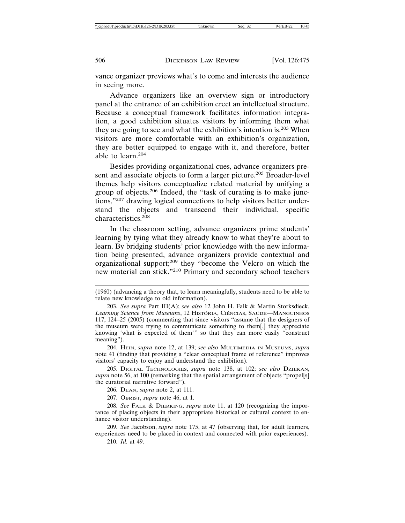vance organizer previews what's to come and interests the audience in seeing more.

Advance organizers like an overview sign or introductory panel at the entrance of an exhibition erect an intellectual structure. Because a conceptual framework facilitates information integration, a good exhibition situates visitors by informing them what they are going to see and what the exhibition's intention is.<sup>203</sup> When visitors are more comfortable with an exhibition's organization, they are better equipped to engage with it, and therefore, better able to learn.<sup>204</sup>

Besides providing organizational cues, advance organizers present and associate objects to form a larger picture.<sup>205</sup> Broader-level themes help visitors conceptualize related material by unifying a group of objects.206 Indeed, the "task of curating is to make junctions,"207 drawing logical connections to help visitors better understand the objects and transcend their individual, specific characteristics.<sup>208</sup>

In the classroom setting, advance organizers prime students' learning by tying what they already know to what they're about to learn. By bridging students' prior knowledge with the new information being presented, advance organizers provide contextual and organizational support;209 they "become the Velcro on which the new material can stick."210 Primary and secondary school teachers

204. HEIN, *supra* note 12, at 139; *see also* MULTIMEDIA IN MUSEUMS, *supra* note 41 (finding that providing a "clear conceptual frame of reference" improves visitors' capacity to enjoy and understand the exhibition).

205. DIGITAL TECHNOLOGIES, *supra* note 138, at 102; *see also* DZIEKAN, *supra* note 56, at 100 (remarking that the spatial arrangement of objects "propel[s] the curatorial narrative forward").

206. DEAN, *supra* note 2, at 111.

207. OBRIST, *supra* note 46, at 1.

208. *See* FALK & DIERKING, *supra* note 11, at 120 (recognizing the importance of placing objects in their appropriate historical or cultural context to enhance visitor understanding).

209. *See* Jacobson, *supra* note 175, at 47 (observing that, for adult learners, experiences need to be placed in context and connected with prior experiences).

210. *Id.* at 49.

<sup>(1960) (</sup>advancing a theory that, to learn meaningfully, students need to be able to relate new knowledge to old information).

<sup>203.</sup> *See supra* Part III(A); *see also* 12 John H. Falk & Martin Storksdieck, Learning Science from Museums, 12 HISTORIA, CIÊNCIAS, SAUDE—MANGUINHOS 117, 124–25 (2005) (commenting that since visitors "assume that the designers of the museum were trying to communicate something to them[,] they appreciate knowing 'what is expected of them'" so that they can more easily "construct meaning").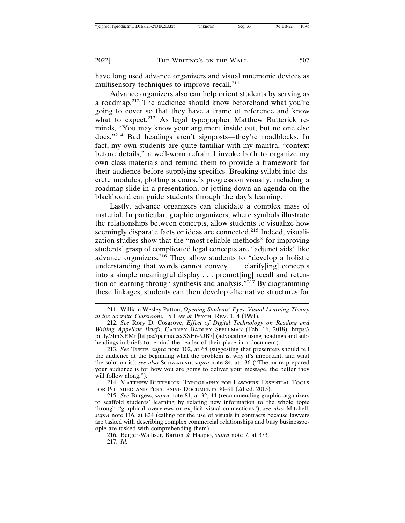have long used advance organizers and visual mnemonic devices as multisensory techniques to improve recall.<sup>211</sup>

Advance organizers also can help orient students by serving as a roadmap.212 The audience should know beforehand what you're going to cover so that they have a frame of reference and know what to expect.<sup>213</sup> As legal typographer Matthew Butterick reminds, "You may know your argument inside out, but no one else does."214 Bad headings aren't signposts—they're roadblocks. In fact, my own students are quite familiar with my mantra, "context before details," a well-worn refrain I invoke both to organize my own class materials and remind them to provide a framework for their audience before supplying specifics. Breaking syllabi into discrete modules, plotting a course's progression visually, including a roadmap slide in a presentation, or jotting down an agenda on the blackboard can guide students through the day's learning.

Lastly, advance organizers can elucidate a complex mass of material. In particular, graphic organizers, where symbols illustrate the relationships between concepts, allow students to visualize how seemingly disparate facts or ideas are connected.<sup>215</sup> Indeed, visualization studies show that the "most reliable methods" for improving students' grasp of complicated legal concepts are "adjunct aids" like advance organizers.216 They allow students to "develop a holistic understanding that words cannot convey . . . clarify[ing] concepts into a simple meaningful display . . . promot[ing] recall and retention of learning through synthesis and analysis."217 By diagramming these linkages, students can then develop alternative structures for

214. MATTHEW BUTTERICK, TYPOGRAPHY FOR LAWYERS: ESSENTIAL TOOLS FOR POLISHED AND PERSUASIVE DOCUMENTS 90–91 (2d ed. 2015).

216. Berger-Walliser, Barton & Haapio, *supra* note 7, at 373. 217. *Id.*

<sup>211.</sup> William Wesley Patton, *Opening Students' Eyes: Visual Learning Theory in the Socratic Classroom*, 15 LAW & PSYCH. REV. 1, 4 (1991).

<sup>212.</sup> *See* Rory D. Cosgrove, *Effect of Digital Technology on Reading and Writing Appellate Briefs*, CARNEY BADLEY SPELLMAN (Feb. 16, 2018), https:// bit.ly/3lmXEMr [https://perma.cc/XSE6-9JB7] (advocating using headings and subheadings in briefs to remind the reader of their place in a document).

<sup>213.</sup> *See* TUFTE, *supra* note 102, at 68 (suggesting that presenters should tell the audience at the beginning what the problem is, why it's important, and what the solution is); *see also* SCHWABISH, *supra* note 84, at 136 ("The more prepared your audience is for how you are going to deliver your message, the better they will follow along.").

<sup>215.</sup> *See* Burgess, *supra* note 81, at 32, 44 (recommending graphic organizers to scaffold students' learning by relating new information to the whole topic through "graphical overviews or explicit visual connections"); *see also* Mitchell, *supra* note 116, at 824 (calling for the use of visuals in contracts because lawyers are tasked with describing complex commercial relationships and busy businesspeople are tasked with comprehending them).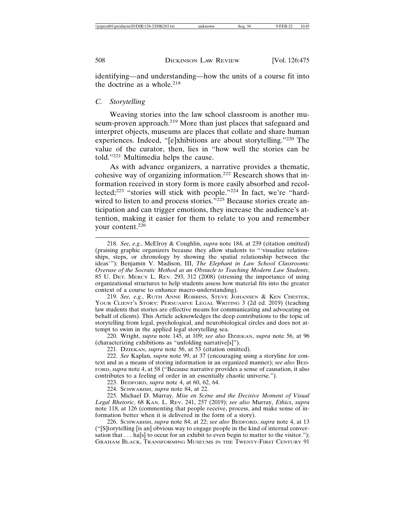identifying—and understanding—how the units of a course fit into the doctrine as a whole.<sup>218</sup>

#### *C. Storytelling*

Weaving stories into the law school classroom is another museum-proven approach.219 More than just places that safeguard and interpret objects, museums are places that collate and share human experiences. Indeed, "[e]xhibitions are about storytelling."220 The value of the curator, then, lies in "how well the stories can be told."221 Multimedia helps the cause.

As with advance organizers, a narrative provides a thematic, cohesive way of organizing information.222 Research shows that information received in story form is more easily absorbed and recollected;223 "stories will stick with people."224 In fact, we're "hardwired to listen to and process stories."<sup>225</sup> Because stories create anticipation and can trigger emotions, they increase the audience's attention, making it easier for them to relate to you and remember your content.<sup>226</sup>

219. *See, e.g.*, RUTH ANNE ROBBINS, STEVE JOHANSEN & KEN CHESTEK, YOUR CLIENT'S STORY: PERSUASIVE LEGAL WRITING 3 (2d ed. 2019) (teaching law students that stories are effective means for communicating and advocating on behalf of clients). This Article acknowledges the deep contributions to the topic of storytelling from legal, psychological, and neurobiological circles and does not attempt to swim in the applied legal storytelling sea.

220. Wright, *supra* note 145, at 109; *see also* DZIEKAN, *supra* note 56, at 96 (characterizing exhibitions as "unfolding narrative[s]").

221. DZIEKAN, *supra* note 56, at 53 (citation omitted).

222. *See* Kaplan, *supra* note 99, at 37 (encouraging using a storyline for context and as a means of storing information in an organized manner); *see also* BED-FORD, *supra* note 4, at 58 ("Because narrative provides a sense of causation, it also contributes to a feeling of order in an essentially chaotic universe.").

223. BEDFORD, *supra* note 4, at 60, 62, 64.

224. SCHWABISH, *supra* note 84, at 22.

225. Michael D. Murray, Mise en Scène and the Decisive Moment of Visual *Legal Rhetoric*, 68 KAN. L. REV. 241, 257 (2019); *see also* Murray, *Ethics*, *supra* note 118, at 126 (commenting that people receive, process, and make sense of information better when it is delivered in the form of a story).

226. SCHWABISH, *supra* note 84, at 22; *see also* BEDFORD, *supra* note 4, at 13 ("[S]torytelling [is an] obvious way to engage people in the kind of internal conversation that  $\dots$  ha[s] to occur for an exhibit to even begin to matter to the visitor."); GRAHAM BLACK, TRANSFORMING MUSEUMS IN THE TWENTY-FIRST CENTURY 91

<sup>218.</sup> *See, e.g.*, McElroy & Coughlin, *supra* note 184, at 239 (citation omitted) (praising graphic organizers because they allow students to "'visualize relationships, steps, or chronology by showing the spatial relationship between the ideas'"); Benjamin V. Madison, III, *The Elephant in Law School Classrooms: Overuse of the Socratic Method as an Obstacle to Teaching Modern Law Students*, 85 U. DET. MERCY L. REV. 293, 312 (2008) (stressing the importance of using organizational structures to help students assess how material fits into the greater context of a course to enhance macro-understanding).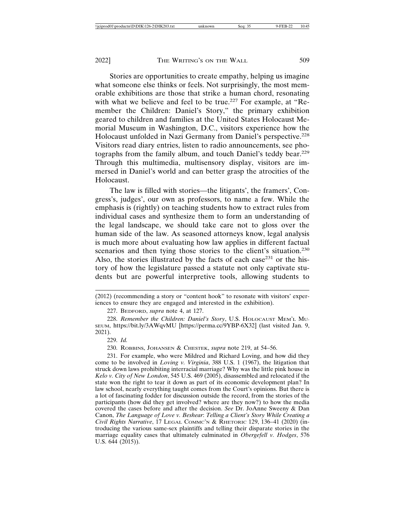Stories are opportunities to create empathy, helping us imagine what someone else thinks or feels. Not surprisingly, the most memorable exhibitions are those that strike a human chord, resonating with what we believe and feel to be true.<sup>227</sup> For example, at "Remember the Children: Daniel's Story," the primary exhibition geared to children and families at the United States Holocaust Memorial Museum in Washington, D.C., visitors experience how the Holocaust unfolded in Nazi Germany from Daniel's perspective.<sup>228</sup> Visitors read diary entries, listen to radio announcements, see photographs from the family album, and touch Daniel's teddy bear.<sup>229</sup> Through this multimedia, multisensory display, visitors are immersed in Daniel's world and can better grasp the atrocities of the Holocaust.

The law is filled with stories—the litigants', the framers', Congress's, judges', our own as professors, to name a few. While the emphasis is (rightly) on teaching students how to extract rules from individual cases and synthesize them to form an understanding of the legal landscape, we should take care not to gloss over the human side of the law. As seasoned attorneys know, legal analysis is much more about evaluating how law applies in different factual scenarios and then tying those stories to the client's situation.<sup>230</sup> Also, the stories illustrated by the facts of each case $^{231}$  or the history of how the legislature passed a statute not only captivate students but are powerful interpretive tools, allowing students to

227. BEDFORD, *supra* note 4, at 127.

228. *Remember the Children: Daniel's Story*, U.S. HOLOCAUST MEM'L MU-SEUM, https://bit.ly/3AWqvMU [https://perma.cc/9YBP-6X32] (last visited Jan. 9, 2021).

229. *Id.*

230. ROBBINS, JOHANSEN & CHESTEK, *supra* note 219, at 54–56.

231. For example, who were Mildred and Richard Loving, and how did they come to be involved in *Loving v. Virginia*, 388 U.S. 1 (1967), the litigation that struck down laws prohibiting interracial marriage? Why was the little pink house in *Kelo v. City of New London*, 545 U.S. 469 (2005), disassembled and relocated if the state won the right to tear it down as part of its economic development plan? In law school, nearly everything taught comes from the Court's opinions. But there is a lot of fascinating fodder for discussion outside the record, from the stories of the participants (how did they get involved? where are they now?) to how the media covered the cases before and after the decision. *See* Dr. JoAnne Sweeny & Dan Canon, *The Language of Love v. Beshear*: *Telling a Client's Story While Creating a Civil Rights Narrative*, 17 LEGAL COMMC'N & RHETORIC 129, 136–41 (2020) (introducing the various same-sex plaintiffs and telling their disparate stories in the marriage equality cases that ultimately culminated in *Obergefell v. Hodges*, 576 U.S.  $644$   $(2015)$ ).

<sup>(2012) (</sup>recommending a story or "content hook" to resonate with visitors' experiences to ensure they are engaged and interested in the exhibition).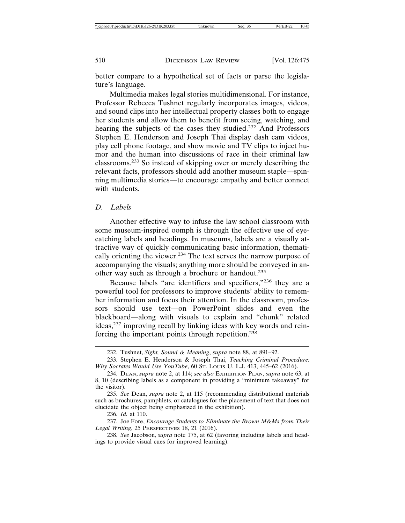better compare to a hypothetical set of facts or parse the legislature's language.

Multimedia makes legal stories multidimensional. For instance, Professor Rebecca Tushnet regularly incorporates images, videos, and sound clips into her intellectual property classes both to engage her students and allow them to benefit from seeing, watching, and hearing the subjects of the cases they studied.232 And Professors Stephen E. Henderson and Joseph Thai display dash cam videos, play cell phone footage, and show movie and TV clips to inject humor and the human into discussions of race in their criminal law classrooms.233 So instead of skipping over or merely describing the relevant facts, professors should add another museum staple—spinning multimedia stories—to encourage empathy and better connect with students.

#### *D. Labels*

Another effective way to infuse the law school classroom with some museum-inspired oomph is through the effective use of eyecatching labels and headings. In museums, labels are a visually attractive way of quickly communicating basic information, thematically orienting the viewer.<sup>234</sup> The text serves the narrow purpose of accompanying the visuals; anything more should be conveyed in another way such as through a brochure or handout.<sup>235</sup>

Because labels "are identifiers and specifiers,"236 they are a powerful tool for professors to improve students' ability to remember information and focus their attention. In the classroom, professors should use text—on PowerPoint slides and even the blackboard—along with visuals to explain and "chunk" related ideas,237 improving recall by linking ideas with key words and reinforcing the important points through repetition.<sup>238</sup>

236. *Id.* at 110.

237. Joe Fore, *Encourage Students to Eliminate the Brown M&Ms from Their Legal Writing*, 25 PERSPECTIVES 18, 21 (2016).

238. *See* Jacobson, *supra* note 175, at 62 (favoring including labels and headings to provide visual cues for improved learning).

<sup>232.</sup> Tushnet, *Sight, Sound & Meaning*, *supra* note 88, at 891–92.

<sup>233.</sup> Stephen E. Henderson & Joseph Thai, *Teaching Criminal Procedure: Why Socrates Would Use YouTube*, 60 ST. LOUIS U. L.J. 413, 445–62 (2016).

<sup>234.</sup> DEAN, *supra* note 2, at 114; *see also* EXHIBITION PLAN, *supra* note 63, at 8, 10 (describing labels as a component in providing a "minimum takeaway" for the visitor).

<sup>235.</sup> *See* Dean, *supra* note 2, at 115 (recommending distributional materials such as brochures, pamphlets, or catalogues for the placement of text that does not elucidate the object being emphasized in the exhibition).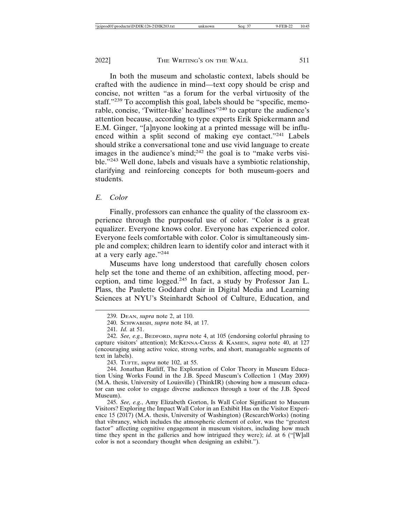In both the museum and scholastic context, labels should be crafted with the audience in mind—text copy should be crisp and concise, not written "as a forum for the verbal virtuosity of the staff."<sup>239</sup> To accomplish this goal, labels should be "specific, memorable, concise, 'Twitter-like' headlines"240 to capture the audience's attention because, according to type experts Erik Spiekermann and E.M. Ginger, "[a]nyone looking at a printed message will be influenced within a split second of making eye contact."241 Labels should strike a conversational tone and use vivid language to create images in the audience's mind;<sup>242</sup> the goal is to "make verbs visible."243 Well done, labels and visuals have a symbiotic relationship, clarifying and reinforcing concepts for both museum-goers and students.

#### *E. Color*

Finally, professors can enhance the quality of the classroom experience through the purposeful use of color. "Color is a great equalizer. Everyone knows color. Everyone has experienced color. Everyone feels comfortable with color. Color is simultaneously simple and complex; children learn to identify color and interact with it at a very early age."<sup>244</sup>

Museums have long understood that carefully chosen colors help set the tone and theme of an exhibition, affecting mood, perception, and time logged.245 In fact, a study by Professor Jan L. Plass, the Paulette Goddard chair in Digital Media and Learning Sciences at NYU's Steinhardt School of Culture, Education, and

243. TUFTE, *supra* note 102, at 55.

<sup>239.</sup> DEAN, *supra* note 2, at 110.

<sup>240.</sup> SCHWABISH, *supra* note 84, at 17.

<sup>241.</sup> *Id.* at 51.

<sup>242.</sup> *See, e.g.*, BEDFORD, *supra* note 4, at 105 (endorsing colorful phrasing to capture visitors' attention); MCKENNA-CRESS & KAMIEN, *supra* note 40, at 127 (encouraging using active voice, strong verbs, and short, manageable segments of text in labels).

<sup>244.</sup> Jonathan Ratliff, The Exploration of Color Theory in Museum Education Using Works Found in the J.B. Speed Museum's Collection 1 (May 2009) (M.A. thesis, University of Louisville) (ThinkIR) (showing how a museum educator can use color to engage diverse audiences through a tour of the J.B. Speed Museum).

<sup>245.</sup> *See, e.g.*, Amy Elizabeth Gorton, Is Wall Color Significant to Museum Visitors? Exploring the Impact Wall Color in an Exhibit Has on the Visitor Experience 15 (2017) (M.A. thesis, University of Washington) (ResearchWorks) (noting that vibrancy, which includes the atmospheric element of color, was the "greatest factor" affecting cognitive engagement in museum visitors, including how much time they spent in the galleries and how intrigued they were); *id.* at 6 ("[W]all color is not a secondary thought when designing an exhibit.").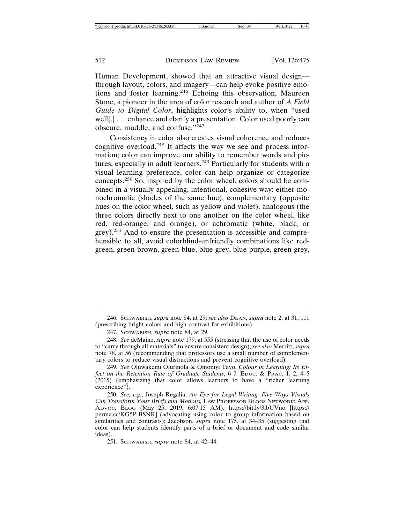Human Development, showed that an attractive visual design through layout, colors, and imagery—can help evoke positive emotions and foster learning.246 Echoing this observation, Maureen Stone, a pioneer in the area of color research and author of *A Field Guide to Digital Color*, highlights color's ability to, when "used well[,]... enhance and clarify a presentation. Color used poorly can obscure, muddle, and confuse."<sup>247</sup>

Consistency in color also creates visual coherence and reduces cognitive overload.248 It affects the way we see and process information; color can improve our ability to remember words and pictures, especially in adult learners.<sup>249</sup> Particularly for students with a visual learning preference, color can help organize or categorize concepts.250 So, inspired by the color wheel, colors should be combined in a visually appealing, intentional, cohesive way: either monochromatic (shades of the same hue), complementary (opposite hues on the color wheel, such as yellow and violet), analogous (the three colors directly next to one another on the color wheel, like red, red-orange, and orange), or achromatic (white, black, or grey).251 And to ensure the presentation is accessible and comprehensible to all, avoid colorblind-unfriendly combinations like redgreen, green-brown, green-blue, blue-grey, blue-purple, green-grey,

<sup>246.</sup> SCHWABISH, *supra* note 84, at 29; *see also* DEAN, *supra* note 2, at 31, 111 (prescribing bright colors and high contrast for exhibitions).

<sup>247.</sup> SCHWABISH, *supra* note 84, at 29.

<sup>248.</sup> *See* deMaine, *supra* note 179, at 555 (stressing that the use of color needs to "carry through all materials" to ensure consistent design); *see also* Merritt, *supra* note 78, at 56 (recommending that professors use a small number of complementary colors to reduce visual distractions and prevent cognitive overload).

<sup>249.</sup> *See* Oluwakemi Olurinola & Omoniyi Tayo, *Colour in Learning: Its Effect on the Retention Rate of Graduate Students*, 6 J. EDUC. & PRAC. 1, 2, 4–5  $(2015)$  (emphasizing that color allows learners to have a "richer learning") experience").

<sup>250.</sup> *See, e.g.*, Joseph Regalia, *An Eye for Legal Writing: Five Ways Visuals Can Transform Your Briefs and Motions,* LAW PROFESSOR BLOGS NETWORK: APP. ADVOC. BLOG (May 25, 2019, 6:07:15 AM), https://bit.ly/3ibUVno [https:// perma.cc/KG5P-BSNR] (advocating using color to group information based on similarities and contrasts); Jacobson, *supra* note 175, at 34–35 (suggesting that color can help students identify parts of a brief or document and code similar ideas).

<sup>251.</sup> SCHWABISH, *supra* note 84, at 42–44.